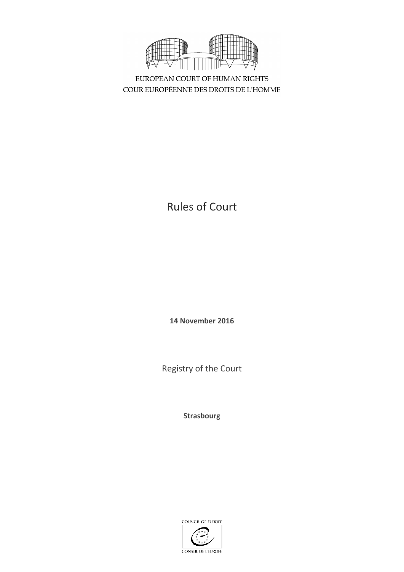

EUROPEAN COURT OF HUMAN RIGHTS COUR EUROPÉENNE DES DROITS DE L'HOMME

Rules of Court

**14 November 2016**

Registry of the Court

**Strasbourg**

COUNCIL OF EUROPE

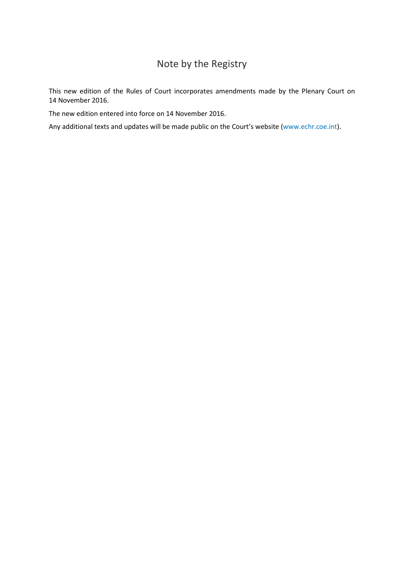# Note by the Registry

This new edition of the Rules of Court incorporates amendments made by the Plenary Court on 14 November 2016.

The new edition entered into force on 14 November 2016.

Any additional texts and updates will be made public on the Court's website [\(www.echr.coe.int\)](http://www.echr.coe.int/).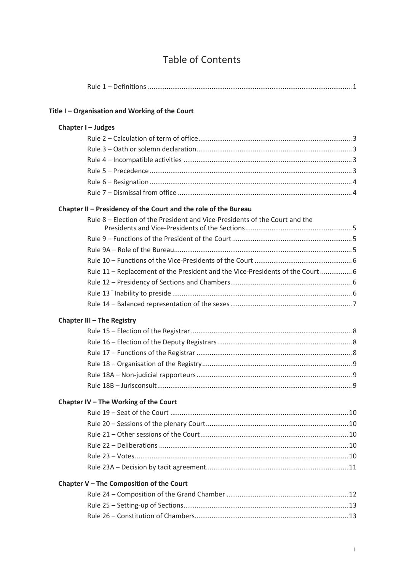# Table of Contents

| Title I - Organisation and Working of the Court                                |  |
|--------------------------------------------------------------------------------|--|
| Chapter I - Judges                                                             |  |
|                                                                                |  |
|                                                                                |  |
|                                                                                |  |
|                                                                                |  |
|                                                                                |  |
|                                                                                |  |
| Chapter II - Presidency of the Court and the role of the Bureau                |  |
| Rule 8 – Election of the President and Vice-Presidents of the Court and the    |  |
|                                                                                |  |
|                                                                                |  |
|                                                                                |  |
| Rule 11 - Replacement of the President and the Vice-Presidents of the Court  6 |  |
|                                                                                |  |
|                                                                                |  |
|                                                                                |  |
| <b>Chapter III - The Registry</b>                                              |  |
|                                                                                |  |
|                                                                                |  |
|                                                                                |  |
|                                                                                |  |
|                                                                                |  |
|                                                                                |  |
| Chapter IV - The Working of the Court                                          |  |
|                                                                                |  |
|                                                                                |  |
|                                                                                |  |
|                                                                                |  |
|                                                                                |  |
|                                                                                |  |
| Chapter V - The Composition of the Court                                       |  |
|                                                                                |  |
|                                                                                |  |
|                                                                                |  |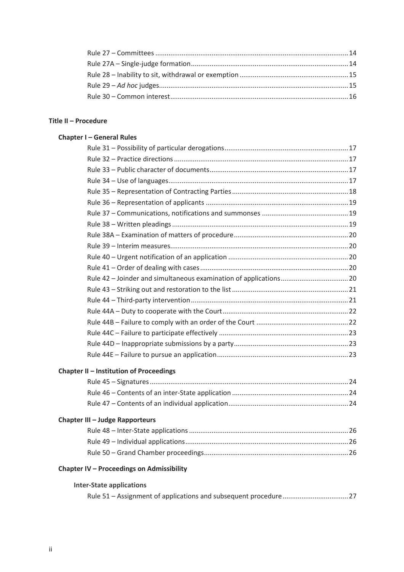### **Title II – [Procedure](#page-26-0)**

### **Chapter I – [General Rules](#page-26-1)**

## **Chapter II – [Institution of Proceedings](#page-33-0)**

## **Chapter III – [Judge Rapporteurs](#page-35-0)**

## **Chapter IV – [Proceedings on Admissibility](#page-36-0)**

## **[Inter-State applications](#page-36-1)**

|--|--|--|--|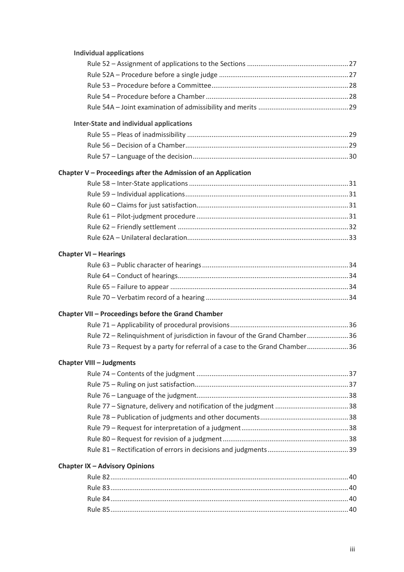| <b>Individual applications</b>                                              |  |
|-----------------------------------------------------------------------------|--|
|                                                                             |  |
|                                                                             |  |
|                                                                             |  |
|                                                                             |  |
|                                                                             |  |
| <b>Inter-State and individual applications</b>                              |  |
|                                                                             |  |
|                                                                             |  |
|                                                                             |  |
| Chapter V - Proceedings after the Admission of an Application               |  |
|                                                                             |  |
|                                                                             |  |
|                                                                             |  |
|                                                                             |  |
|                                                                             |  |
|                                                                             |  |
| <b>Chapter VI - Hearings</b>                                                |  |
|                                                                             |  |
|                                                                             |  |
|                                                                             |  |
|                                                                             |  |
| Chapter VII - Proceedings before the Grand Chamber                          |  |
|                                                                             |  |
| Rule 72 - Relinquishment of jurisdiction in favour of the Grand Chamber 36  |  |
| Rule 73 - Request by a party for referral of a case to the Grand Chamber 36 |  |
| <b>Chapter VIII - Judgments</b>                                             |  |
|                                                                             |  |
|                                                                             |  |
|                                                                             |  |
|                                                                             |  |
|                                                                             |  |
|                                                                             |  |
|                                                                             |  |
|                                                                             |  |
| <b>Chapter IX - Advisory Opinions</b>                                       |  |
|                                                                             |  |
|                                                                             |  |
|                                                                             |  |
|                                                                             |  |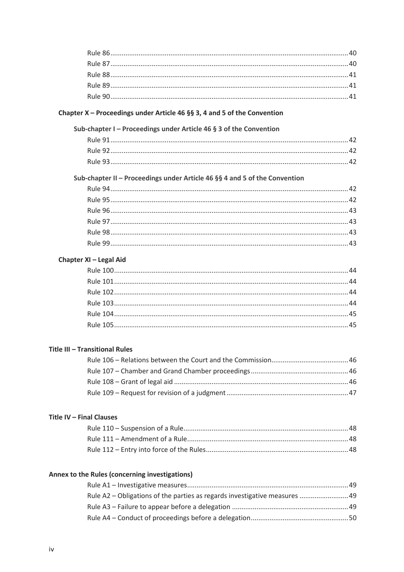|                                       | Chapter X – Proceedings under Article 46 $\S$ § 3, 4 and 5 of the Convention |  |
|---------------------------------------|------------------------------------------------------------------------------|--|
|                                       |                                                                              |  |
|                                       | Sub-chapter I - Proceedings under Article 46 § 3 of the Convention           |  |
|                                       |                                                                              |  |
|                                       |                                                                              |  |
|                                       |                                                                              |  |
|                                       | Sub-chapter II - Proceedings under Article 46 §§ 4 and 5 of the Convention   |  |
|                                       |                                                                              |  |
|                                       |                                                                              |  |
|                                       |                                                                              |  |
|                                       |                                                                              |  |
|                                       |                                                                              |  |
|                                       |                                                                              |  |
| Chapter XI - Legal Aid                |                                                                              |  |
|                                       |                                                                              |  |
|                                       |                                                                              |  |
|                                       |                                                                              |  |
|                                       |                                                                              |  |
|                                       |                                                                              |  |
|                                       |                                                                              |  |
|                                       |                                                                              |  |
| <b>Title III - Transitional Rules</b> |                                                                              |  |
|                                       |                                                                              |  |

## Title IV - Final Clauses

## Annex to the Rules (concerning investigations)

| Rule A2 – Obligations of the parties as regards investigative measures  49 |  |
|----------------------------------------------------------------------------|--|
|                                                                            |  |
|                                                                            |  |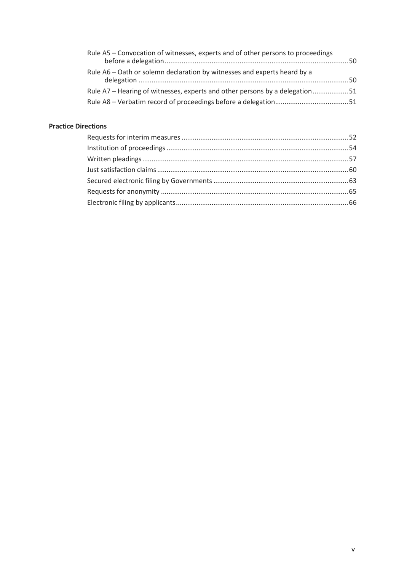| Rule A5 – Convocation of witnesses, experts and of other persons to proceedings |  |
|---------------------------------------------------------------------------------|--|
| Rule A6 - Oath or solemn declaration by witnesses and experts heard by a        |  |
| Rule A7 - Hearing of witnesses, experts and other persons by a delegation51     |  |
|                                                                                 |  |

#### **[Practice Directions](#page-61-0)**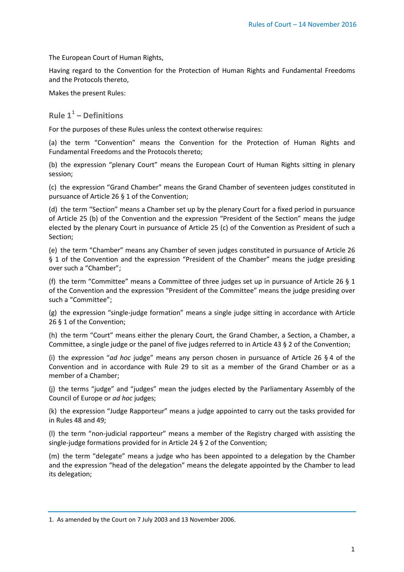The European Court of Human Rights,

Having regard to the Convention for the Protection of Human Rights and Fundamental Freedoms and the Protocols thereto,

Makes the present Rules:

<span id="page-10-0"></span>**Rule 1[1](#page-10-1) – Definitions**

For the purposes of these Rules unless the context otherwise requires:

(a) the term "Convention" means the Convention for the Protection of Human Rights and Fundamental Freedoms and the Protocols thereto;

(b) the expression "plenary Court" means the European Court of Human Rights sitting in plenary session;

(c) the expression "Grand Chamber" means the Grand Chamber of seventeen judges constituted in pursuance of Article 26 § 1 of the Convention;

(d) the term "Section" means a Chamber set up by the plenary Court for a fixed period in pursuance of Article 25 (b) of the Convention and the expression "President of the Section" means the judge elected by the plenary Court in pursuance of Article 25 (c) of the Convention as President of such a Section;

(e) the term "Chamber" means any Chamber of seven judges constituted in pursuance of Article 26 § 1 of the Convention and the expression "President of the Chamber" means the judge presiding over such a "Chamber";

(f) the term "Committee" means a Committee of three judges set up in pursuance of Article 26 § 1 of the Convention and the expression "President of the Committee" means the judge presiding over such a "Committee";

(g) the expression "single-judge formation" means a single judge sitting in accordance with Article 26 § 1 of the Convention;

(h) the term "Court" means either the plenary Court, the Grand Chamber, a Section, a Chamber, a Committee, a single judge or the panel of five judges referred to in Article 43 § 2 of the Convention;

(i) the expression "*ad hoc* judge" means any person chosen in pursuance of Article 26 § 4 of the Convention and in accordance with Rule 29 to sit as a member of the Grand Chamber or as a member of a Chamber;

(j) the terms "judge" and "judges" mean the judges elected by the Parliamentary Assembly of the Council of Europe or *ad hoc* judges;

(k) the expression "Judge Rapporteur" means a judge appointed to carry out the tasks provided for in Rules 48 and 49;

(l) the term "non-judicial rapporteur" means a member of the Registry charged with assisting the single-judge formations provided for in Article 24 § 2 of the Convention;

(m) the term "delegate" means a judge who has been appointed to a delegation by the Chamber and the expression "head of the delegation" means the delegate appointed by the Chamber to lead its delegation;

<span id="page-10-1"></span><sup>1.</sup> As amended by the Court on 7 July 2003 and 13 November 2006.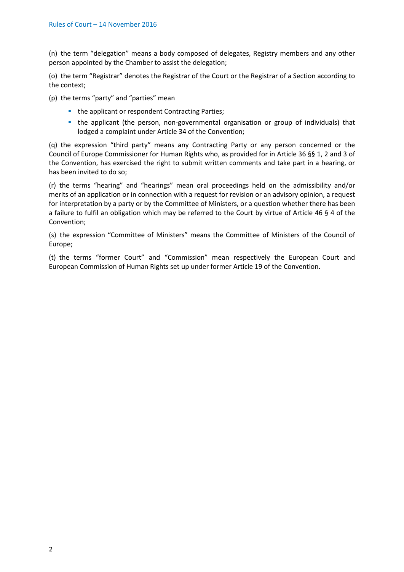(n) the term "delegation" means a body composed of delegates, Registry members and any other person appointed by the Chamber to assist the delegation;

(o) the term "Registrar" denotes the Registrar of the Court or the Registrar of a Section according to the context;

(p) the terms "party" and "parties" mean

- the applicant or respondent Contracting Parties;
- the applicant (the person, non-governmental organisation or group of individuals) that lodged a complaint under Article 34 of the Convention;

(q) the expression "third party" means any Contracting Party or any person concerned or the Council of Europe Commissioner for Human Rights who, as provided for in Article 36 §§ 1, 2 and 3 of the Convention, has exercised the right to submit written comments and take part in a hearing, or has been invited to do so;

(r) the terms "hearing" and "hearings" mean oral proceedings held on the admissibility and/or merits of an application or in connection with a request for revision or an advisory opinion, a request for interpretation by a party or by the Committee of Ministers, or a question whether there has been a failure to fulfil an obligation which may be referred to the Court by virtue of Article 46 § 4 of the Convention;

(s) the expression "Committee of Ministers" means the Committee of Ministers of the Council of Europe;

(t) the terms "former Court" and "Commission" mean respectively the European Court and European Commission of Human Rights set up under former Article 19 of the Convention.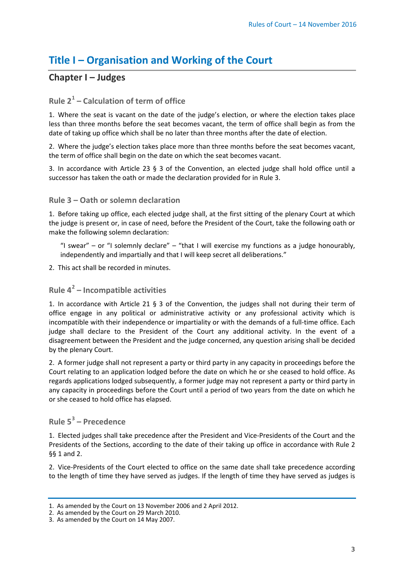# <span id="page-12-0"></span>**Title I – Organisation and Working of the Court**

# <span id="page-12-2"></span><span id="page-12-1"></span>**Chapter I – Judges**

## **Rule 2[1](#page-12-6) – Calculation of term of office**

1. Where the seat is vacant on the date of the judge's election, or where the election takes place less than three months before the seat becomes vacant, the term of office shall begin as from the date of taking up office which shall be no later than three months after the date of election.

2. Where the judge's election takes place more than three months before the seat becomes vacant, the term of office shall begin on the date on which the seat becomes vacant.

3. In accordance with Article 23  $\S$  3 of the Convention, an elected judge shall hold office until a successor has taken the oath or made the declaration provided for in Rule 3.

<span id="page-12-3"></span>**Rule 3 – Oath or solemn declaration**

1. Before taking up office, each elected judge shall, at the first sitting of the plenary Court at which the judge is present or, in case of need, before the President of the Court, take the following oath or make the following solemn declaration:

"I swear" – or "I solemnly declare" – "that I will exercise my functions as a judge honourably, independently and impartially and that I will keep secret all deliberations."

2. This act shall be recorded in minutes.

## <span id="page-12-4"></span>**Rule 4[2](#page-12-7) – Incompatible activities**

1. In accordance with Article 21 § 3 of the Convention, the judges shall not during their term of office engage in any political or administrative activity or any professional activity which is incompatible with their independence or impartiality or with the demands of a full-time office. Each judge shall declare to the President of the Court any additional activity. In the event of a disagreement between the President and the judge concerned, any question arising shall be decided by the plenary Court.

2. A former judge shall not represent a party or third party in any capacity in proceedings before the Court relating to an application lodged before the date on which he or she ceased to hold office. As regards applications lodged subsequently, a former judge may not represent a party or third party in any capacity in proceedings before the Court until a period of two years from the date on which he or she ceased to hold office has elapsed.

## <span id="page-12-5"></span>**Rule 5[3](#page-12-8) – Precedence**

1. Elected judges shall take precedence after the President and Vice-Presidents of the Court and the Presidents of the Sections, according to the date of their taking up office in accordance with Rule 2 §§ 1 and 2.

2. Vice-Presidents of the Court elected to office on the same date shall take precedence according to the length of time they have served as judges. If the length of time they have served as judges is

<span id="page-12-6"></span><sup>1.</sup> As amended by the Court on 13 November 2006 and 2 April 2012.

<span id="page-12-7"></span><sup>2.</sup> As amended by the Court on 29 March 2010.

<span id="page-12-8"></span><sup>3.</sup> As amended by the Court on 14 May 2007.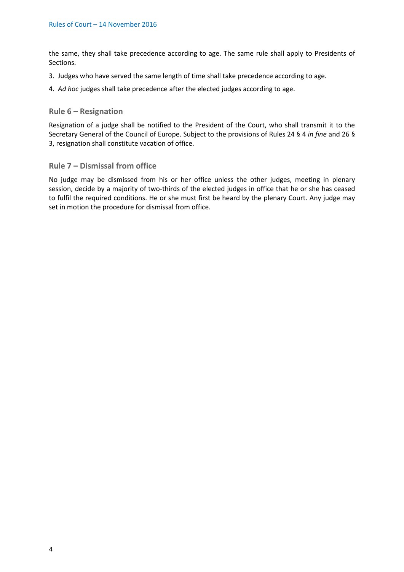the same, they shall take precedence according to age. The same rule shall apply to Presidents of Sections.

- 3. Judges who have served the same length of time shall take precedence according to age.
- 4. *Ad hoc* judges shall take precedence after the elected judges according to age.

#### <span id="page-13-0"></span>**Rule 6 – Resignation**

Resignation of a judge shall be notified to the President of the Court, who shall transmit it to the Secretary General of the Council of Europe. Subject to the provisions of Rules 24 § 4 *in fine* and 26 § 3, resignation shall constitute vacation of office.

#### <span id="page-13-1"></span>**Rule 7 – Dismissal from office**

No judge may be dismissed from his or her office unless the other judges, meeting in plenary session, decide by a majority of two-thirds of the elected judges in office that he or she has ceased to fulfil the required conditions. He or she must first be heard by the plenary Court. Any judge may set in motion the procedure for dismissal from office.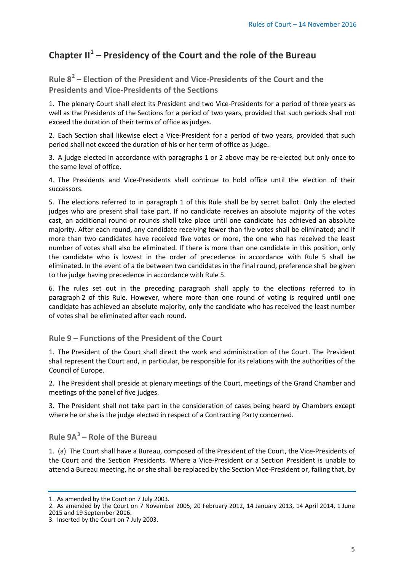# <span id="page-14-1"></span><span id="page-14-0"></span>**Chapter II[1](#page-14-4) – Presidency of the Court and the role of the Bureau**

**Rule 8[2](#page-14-5) – Election of the President and Vice-Presidents of the Court and the Presidents and Vice-Presidents of the Sections**

1. The plenary Court shall elect its President and two Vice-Presidents for a period of three years as well as the Presidents of the Sections for a period of two years, provided that such periods shall not exceed the duration of their terms of office as judges.

2. Each Section shall likewise elect a Vice-President for a period of two years, provided that such period shall not exceed the duration of his or her term of office as judge.

3. A judge elected in accordance with paragraphs 1 or 2 above may be re-elected but only once to the same level of office.

4. The Presidents and Vice-Presidents shall continue to hold office until the election of their successors.

5. The elections referred to in paragraph 1 of this Rule shall be by secret ballot. Only the elected judges who are present shall take part. If no candidate receives an absolute majority of the votes cast, an additional round or rounds shall take place until one candidate has achieved an absolute majority. After each round, any candidate receiving fewer than five votes shall be eliminated; and if more than two candidates have received five votes or more, the one who has received the least number of votes shall also be eliminated. If there is more than one candidate in this position, only the candidate who is lowest in the order of precedence in accordance with Rule 5 shall be eliminated. In the event of a tie between two candidates in the final round, preference shall be given to the judge having precedence in accordance with Rule 5.

6. The rules set out in the preceding paragraph shall apply to the elections referred to in paragraph 2 of this Rule. However, where more than one round of voting is required until one candidate has achieved an absolute majority, only the candidate who has received the least number of votes shall be eliminated after each round.

<span id="page-14-2"></span>**Rule 9 – Functions of the President of the Court**

1. The President of the Court shall direct the work and administration of the Court. The President shall represent the Court and, in particular, be responsible for its relations with the authorities of the Council of Europe.

2. The President shall preside at plenary meetings of the Court, meetings of the Grand Chamber and meetings of the panel of five judges.

3. The President shall not take part in the consideration of cases being heard by Chambers except where he or she is the judge elected in respect of a Contracting Party concerned.

<span id="page-14-3"></span>**Rule 9A[3](#page-14-6) – Role of the Bureau**

1. (a) The Court shall have a Bureau, composed of the President of the Court, the Vice-Presidents of the Court and the Section Presidents. Where a Vice-President or a Section President is unable to attend a Bureau meeting, he or she shall be replaced by the Section Vice-President or, failing that, by

<span id="page-14-4"></span><sup>1.</sup> As amended by the Court on 7 July 2003.

<span id="page-14-5"></span><sup>2.</sup> As amended by the Court on 7 November 2005, 20 February 2012, 14 January 2013, 14 April 2014, 1 June 2015 and 19 September 2016.

<span id="page-14-6"></span><sup>3.</sup> Inserted by the Court on 7 July 2003.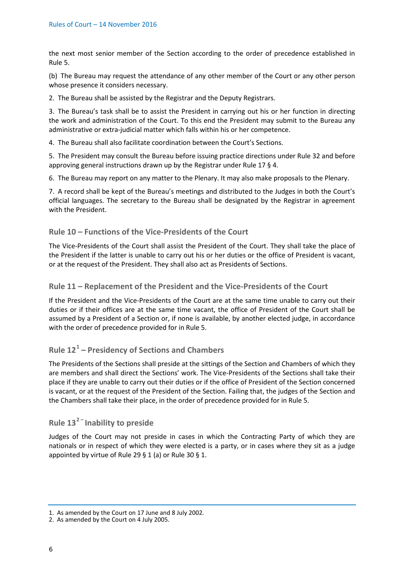the next most senior member of the Section according to the order of precedence established in Rule 5.

(b) The Bureau may request the attendance of any other member of the Court or any other person whose presence it considers necessary.

2. The Bureau shall be assisted by the Registrar and the Deputy Registrars.

3. The Bureau's task shall be to assist the President in carrying out his or her function in directing the work and administration of the Court. To this end the President may submit to the Bureau any administrative or extra-judicial matter which falls within his or her competence.

4. The Bureau shall also facilitate coordination between the Court's Sections.

5. The President may consult the Bureau before issuing practice directions under Rule 32 and before approving general instructions drawn up by the Registrar under Rule 17 § 4.

6. The Bureau may report on any matter to the Plenary. It may also make proposals to the Plenary.

7. A record shall be kept of the Bureau's meetings and distributed to the Judges in both the Court's official languages. The secretary to the Bureau shall be designated by the Registrar in agreement with the President.

#### <span id="page-15-0"></span>**Rule 10 – Functions of the Vice-Presidents of the Court**

The Vice-Presidents of the Court shall assist the President of the Court. They shall take the place of the President if the latter is unable to carry out his or her duties or the office of President is vacant, or at the request of the President. They shall also act as Presidents of Sections.

#### <span id="page-15-1"></span>**Rule 11 – Replacement of the President and the Vice-Presidents of the Court**

If the President and the Vice-Presidents of the Court are at the same time unable to carry out their duties or if their offices are at the same time vacant, the office of President of the Court shall be assumed by a President of a Section or, if none is available, by another elected judge, in accordance with the order of precedence provided for in Rule 5.

#### <span id="page-15-2"></span>**Rule 12[1](#page-15-4) – Presidency of Sections and Chambers**

The Presidents of the Sections shall preside at the sittings of the Section and Chambers of which they are members and shall direct the Sections' work. The Vice-Presidents of the Sections shall take their place if they are unable to carry out their duties or if the office of President of the Section concerned is vacant, or at the request of the President of the Section. Failing that, the judges of the Section and the Chambers shall take their place, in the order of precedence provided for in Rule 5.

### <span id="page-15-3"></span>**Rule 13[2](#page-15-5) – Inability to preside**

Judges of the Court may not preside in cases in which the Contracting Party of which they are nationals or in respect of which they were elected is a party, or in cases where they sit as a judge appointed by virtue of Rule 29 § 1 (a) or Rule 30 § 1.

<span id="page-15-4"></span><sup>1.</sup> As amended by the Court on 17 June and 8 July 2002.

<span id="page-15-5"></span><sup>2.</sup> As amended by the Court on 4 July 2005.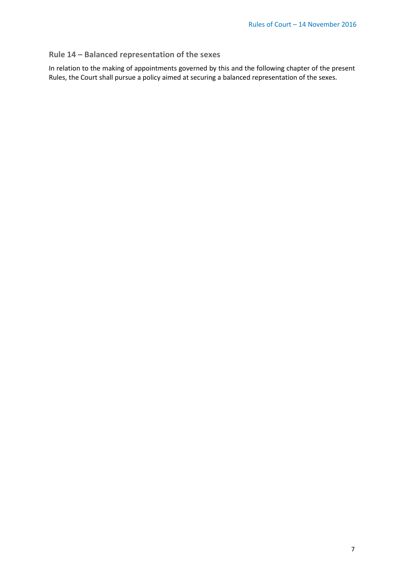## <span id="page-16-0"></span>**Rule 14 – Balanced representation of the sexes**

In relation to the making of appointments governed by this and the following chapter of the present Rules, the Court shall pursue a policy aimed at securing a balanced representation of the sexes.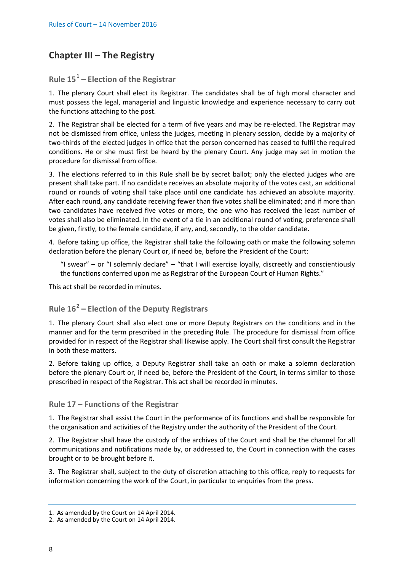# <span id="page-17-1"></span><span id="page-17-0"></span>**Chapter III – The Registry**

**Rule 15[1](#page-17-4) – Election of the Registrar**

1. The plenary Court shall elect its Registrar. The candidates shall be of high moral character and must possess the legal, managerial and linguistic knowledge and experience necessary to carry out the functions attaching to the post.

2. The Registrar shall be elected for a term of five years and may be re-elected. The Registrar may not be dismissed from office, unless the judges, meeting in plenary session, decide by a majority of two-thirds of the elected judges in office that the person concerned has ceased to fulfil the required conditions. He or she must first be heard by the plenary Court. Any judge may set in motion the procedure for dismissal from office.

3. The elections referred to in this Rule shall be by secret ballot; only the elected judges who are present shall take part. If no candidate receives an absolute majority of the votes cast, an additional round or rounds of voting shall take place until one candidate has achieved an absolute majority. After each round, any candidate receiving fewer than five votes shall be eliminated; and if more than two candidates have received five votes or more, the one who has received the least number of votes shall also be eliminated. In the event of a tie in an additional round of voting, preference shall be given, firstly, to the female candidate, if any, and, secondly, to the older candidate.

4. Before taking up office, the Registrar shall take the following oath or make the following solemn declaration before the plenary Court or, if need be, before the President of the Court:

"I swear" – or "I solemnly declare" – "that I will exercise loyally, discreetly and conscientiously the functions conferred upon me as Registrar of the European Court of Human Rights."

This act shall be recorded in minutes.

## <span id="page-17-2"></span>**Rule 16[2](#page-17-5) – Election of the Deputy Registrars**

1. The plenary Court shall also elect one or more Deputy Registrars on the conditions and in the manner and for the term prescribed in the preceding Rule. The procedure for dismissal from office provided for in respect of the Registrar shall likewise apply. The Court shall first consult the Registrar in both these matters.

2. Before taking up office, a Deputy Registrar shall take an oath or make a solemn declaration before the plenary Court or, if need be, before the President of the Court, in terms similar to those prescribed in respect of the Registrar. This act shall be recorded in minutes.

#### <span id="page-17-3"></span>**Rule 17 – Functions of the Registrar**

1. The Registrar shall assist the Court in the performance of its functions and shall be responsible for the organisation and activities of the Registry under the authority of the President of the Court.

2. The Registrar shall have the custody of the archives of the Court and shall be the channel for all communications and notifications made by, or addressed to, the Court in connection with the cases brought or to be brought before it.

3. The Registrar shall, subject to the duty of discretion attaching to this office, reply to requests for information concerning the work of the Court, in particular to enquiries from the press.

<span id="page-17-4"></span><sup>1.</sup> As amended by the Court on 14 April 2014.

<span id="page-17-5"></span><sup>2.</sup> As amended by the Court on 14 April 2014.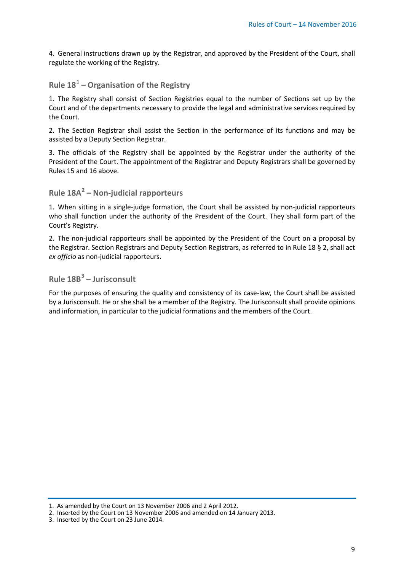4. General instructions drawn up by the Registrar, and approved by the President of the Court, shall regulate the working of the Registry.

## <span id="page-18-0"></span>**Rule 18[1](#page-18-3) – Organisation of the Registry**

1. The Registry shall consist of Section Registries equal to the number of Sections set up by the Court and of the departments necessary to provide the legal and administrative services required by the Court.

2. The Section Registrar shall assist the Section in the performance of its functions and may be assisted by a Deputy Section Registrar.

3. The officials of the Registry shall be appointed by the Registrar under the authority of the President of the Court. The appointment of the Registrar and Deputy Registrars shall be governed by Rules 15 and 16 above.

## <span id="page-18-1"></span>**Rule 18A[2](#page-18-4) – Non-judicial rapporteurs**

1. When sitting in a single-judge formation, the Court shall be assisted by non-judicial rapporteurs who shall function under the authority of the President of the Court. They shall form part of the Court's Registry.

2. The non-judicial rapporteurs shall be appointed by the President of the Court on a proposal by the Registrar. Section Registrars and Deputy Section Registrars, as referred to in Rule 18 § 2, shall act *ex officio* as non-judicial rapporteurs.

### <span id="page-18-2"></span>**Rule 18B[3](#page-18-5) – Jurisconsult**

For the purposes of ensuring the quality and consistency of its case-law, the Court shall be assisted by a Jurisconsult. He or she shall be a member of the Registry. The Jurisconsult shall provide opinions and information, in particular to the judicial formations and the members of the Court.

<span id="page-18-3"></span><sup>1.</sup> As amended by the Court on 13 November 2006 and 2 April 2012.

<span id="page-18-4"></span><sup>2.</sup> Inserted by the Court on 13 November 2006 and amended on 14 January 2013.

<span id="page-18-5"></span><sup>3.</sup> Inserted by the Court on 23 June 2014.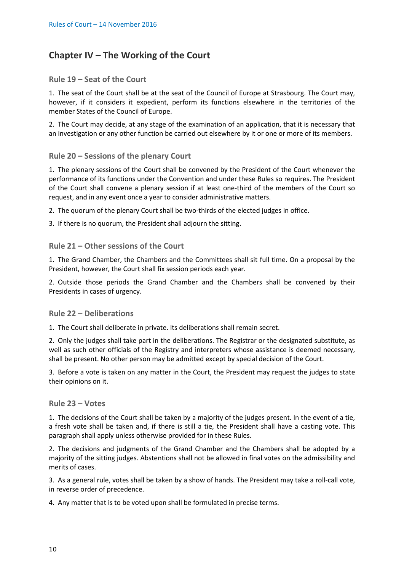# <span id="page-19-1"></span><span id="page-19-0"></span>**Chapter IV – The Working of the Court**

#### **Rule 19 – Seat of the Court**

1. The seat of the Court shall be at the seat of the Council of Europe at Strasbourg. The Court may, however, if it considers it expedient, perform its functions elsewhere in the territories of the member States of the Council of Europe.

2. The Court may decide, at any stage of the examination of an application, that it is necessary that an investigation or any other function be carried out elsewhere by it or one or more of its members.

#### <span id="page-19-2"></span>**Rule 20 – Sessions of the plenary Court**

1. The plenary sessions of the Court shall be convened by the President of the Court whenever the performance of its functions under the Convention and under these Rules so requires. The President of the Court shall convene a plenary session if at least one-third of the members of the Court so request, and in any event once a year to consider administrative matters.

2. The quorum of the plenary Court shall be two-thirds of the elected judges in office.

3. If there is no quorum, the President shall adjourn the sitting.

#### <span id="page-19-3"></span>**Rule 21 – Other sessions of the Court**

1. The Grand Chamber, the Chambers and the Committees shall sit full time. On a proposal by the President, however, the Court shall fix session periods each year.

2. Outside those periods the Grand Chamber and the Chambers shall be convened by their Presidents in cases of urgency.

#### <span id="page-19-4"></span>**Rule 22 – Deliberations**

1. The Court shall deliberate in private. Its deliberations shall remain secret.

2. Only the judges shall take part in the deliberations. The Registrar or the designated substitute, as well as such other officials of the Registry and interpreters whose assistance is deemed necessary, shall be present. No other person may be admitted except by special decision of the Court.

3. Before a vote is taken on any matter in the Court, the President may request the judges to state their opinions on it.

#### <span id="page-19-5"></span>**Rule 23 – Votes**

1. The decisions of the Court shall be taken by a majority of the judges present. In the event of a tie, a fresh vote shall be taken and, if there is still a tie, the President shall have a casting vote. This paragraph shall apply unless otherwise provided for in these Rules.

2. The decisions and judgments of the Grand Chamber and the Chambers shall be adopted by a majority of the sitting judges. Abstentions shall not be allowed in final votes on the admissibility and merits of cases.

3. As a general rule, votes shall be taken by a show of hands. The President may take a roll-call vote, in reverse order of precedence.

4. Any matter that is to be voted upon shall be formulated in precise terms.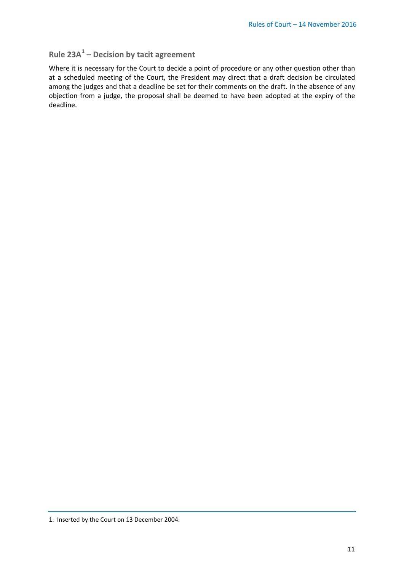# <span id="page-20-0"></span>**Rule 23A[1](#page-20-1) – Decision by tacit agreement**

Where it is necessary for the Court to decide a point of procedure or any other question other than at a scheduled meeting of the Court, the President may direct that a draft decision be circulated among the judges and that a deadline be set for their comments on the draft. In the absence of any objection from a judge, the proposal shall be deemed to have been adopted at the expiry of the deadline.

<span id="page-20-1"></span><sup>1.</sup> Inserted by the Court on 13 December 2004.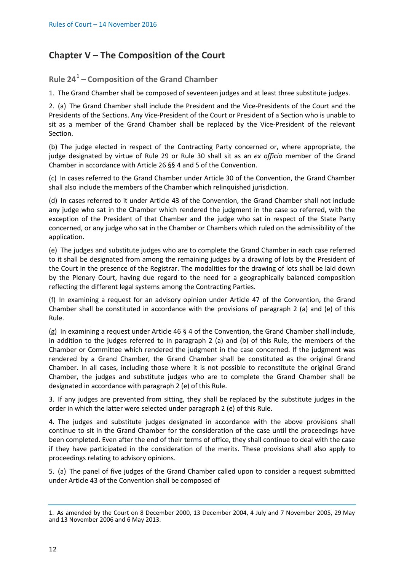# <span id="page-21-1"></span><span id="page-21-0"></span>**Chapter V – The Composition of the Court**

**Rule 24[1](#page-21-2) – Composition of the Grand Chamber**

1. The Grand Chamber shall be composed of seventeen judges and at least three substitute judges.

2. (a) The Grand Chamber shall include the President and the Vice-Presidents of the Court and the Presidents of the Sections. Any Vice-President of the Court or President of a Section who is unable to sit as a member of the Grand Chamber shall be replaced by the Vice-President of the relevant Section.

(b) The judge elected in respect of the Contracting Party concerned or, where appropriate, the judge designated by virtue of Rule 29 or Rule 30 shall sit as an *ex officio* member of the Grand Chamber in accordance with Article 26 §§ 4 and 5 of the Convention.

(c) In cases referred to the Grand Chamber under Article 30 of the Convention, the Grand Chamber shall also include the members of the Chamber which relinquished jurisdiction.

(d) In cases referred to it under Article 43 of the Convention, the Grand Chamber shall not include any judge who sat in the Chamber which rendered the judgment in the case so referred, with the exception of the President of that Chamber and the judge who sat in respect of the State Party concerned, or any judge who sat in the Chamber or Chambers which ruled on the admissibility of the application.

(e) The judges and substitute judges who are to complete the Grand Chamber in each case referred to it shall be designated from among the remaining judges by a drawing of lots by the President of the Court in the presence of the Registrar. The modalities for the drawing of lots shall be laid down by the Plenary Court, having due regard to the need for a geographically balanced composition reflecting the different legal systems among the Contracting Parties.

(f) In examining a request for an advisory opinion under Article 47 of the Convention, the Grand Chamber shall be constituted in accordance with the provisions of paragraph 2 (a) and (e) of this Rule.

(g) In examining a request under Article 46 § 4 of the Convention, the Grand Chamber shall include, in addition to the judges referred to in paragraph 2 (a) and (b) of this Rule, the members of the Chamber or Committee which rendered the judgment in the case concerned. If the judgment was rendered by a Grand Chamber, the Grand Chamber shall be constituted as the original Grand Chamber. In all cases, including those where it is not possible to reconstitute the original Grand Chamber, the judges and substitute judges who are to complete the Grand Chamber shall be designated in accordance with paragraph 2 (e) of this Rule.

3. If any judges are prevented from sitting, they shall be replaced by the substitute judges in the order in which the latter were selected under paragraph 2 (e) of this Rule.

4. The judges and substitute judges designated in accordance with the above provisions shall continue to sit in the Grand Chamber for the consideration of the case until the proceedings have been completed. Even after the end of their terms of office, they shall continue to deal with the case if they have participated in the consideration of the merits. These provisions shall also apply to proceedings relating to advisory opinions.

5. (a) The panel of five judges of the Grand Chamber called upon to consider a request submitted under Article 43 of the Convention shall be composed of

<span id="page-21-2"></span><sup>1.</sup> As amended by the Court on 8 December 2000, 13 December 2004, 4 July and 7 November 2005, 29 May and 13 November 2006 and 6 May 2013.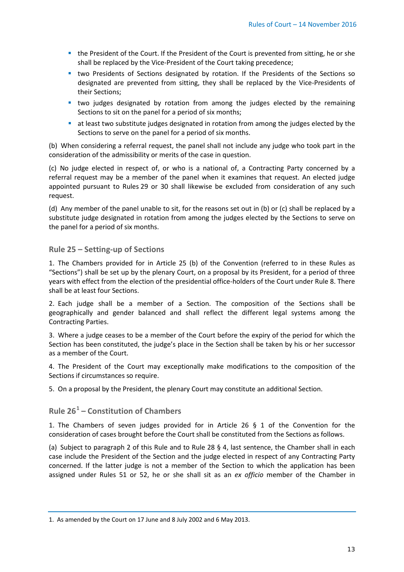- **the President of the Court. If the President of the Court is prevented from sitting, he or she** shall be replaced by the Vice-President of the Court taking precedence;
- two Presidents of Sections designated by rotation. If the Presidents of the Sections so designated are prevented from sitting, they shall be replaced by the Vice-Presidents of their Sections;
- **two judges designated by rotation from among the judges elected by the remaining** Sections to sit on the panel for a period of six months;
- at least two substitute judges designated in rotation from among the judges elected by the Sections to serve on the panel for a period of six months.

(b) When considering a referral request, the panel shall not include any judge who took part in the consideration of the admissibility or merits of the case in question.

(c) No judge elected in respect of, or who is a national of, a Contracting Party concerned by a referral request may be a member of the panel when it examines that request. An elected judge appointed pursuant to Rules 29 or 30 shall likewise be excluded from consideration of any such request.

(d) Any member of the panel unable to sit, for the reasons set out in (b) or (c) shall be replaced by a substitute judge designated in rotation from among the judges elected by the Sections to serve on the panel for a period of six months.

#### <span id="page-22-0"></span>**Rule 25 – Setting-up of Sections**

1. The Chambers provided for in Article 25 (b) of the Convention (referred to in these Rules as "Sections") shall be set up by the plenary Court, on a proposal by its President, for a period of three years with effect from the election of the presidential office-holders of the Court under Rule 8. There shall be at least four Sections.

2. Each judge shall be a member of a Section. The composition of the Sections shall be geographically and gender balanced and shall reflect the different legal systems among the Contracting Parties.

3. Where a judge ceases to be a member of the Court before the expiry of the period for which the Section has been constituted, the judge's place in the Section shall be taken by his or her successor as a member of the Court.

4. The President of the Court may exceptionally make modifications to the composition of the Sections if circumstances so require.

5. On a proposal by the President, the plenary Court may constitute an additional Section.

## <span id="page-22-1"></span>**Rule 26[1](#page-22-2) – Constitution of Chambers**

1. The Chambers of seven judges provided for in Article 26 § 1 of the Convention for the consideration of cases brought before the Court shall be constituted from the Sections as follows.

(a) Subject to paragraph 2 of this Rule and to Rule 28 § 4, last sentence, the Chamber shall in each case include the President of the Section and the judge elected in respect of any Contracting Party concerned. If the latter judge is not a member of the Section to which the application has been assigned under Rules 51 or 52, he or she shall sit as an *ex officio* member of the Chamber in

<span id="page-22-2"></span><sup>1.</sup> As amended by the Court on 17 June and 8 July 2002 and 6 May 2013.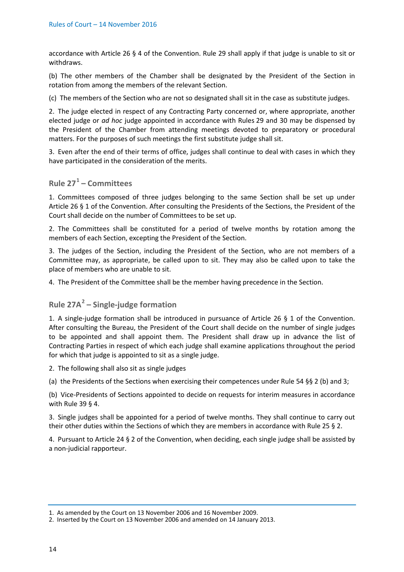accordance with Article 26 § 4 of the Convention. Rule 29 shall apply if that judge is unable to sit or withdraws.

(b) The other members of the Chamber shall be designated by the President of the Section in rotation from among the members of the relevant Section.

(c) The members of the Section who are not so designated shall sit in the case as substitute judges.

2. The judge elected in respect of any Contracting Party concerned or, where appropriate, another elected judge or *ad hoc* judge appointed in accordance with Rules 29 and 30 may be dispensed by the President of the Chamber from attending meetings devoted to preparatory or procedural matters. For the purposes of such meetings the first substitute judge shall sit.

3. Even after the end of their terms of office, judges shall continue to deal with cases in which they have participated in the consideration of the merits.

#### <span id="page-23-0"></span>**Rule 27[1](#page-23-2) – Committees**

1. Committees composed of three judges belonging to the same Section shall be set up under Article 26 § 1 of the Convention. After consulting the Presidents of the Sections, the President of the Court shall decide on the number of Committees to be set up.

2. The Committees shall be constituted for a period of twelve months by rotation among the members of each Section, excepting the President of the Section.

3. The judges of the Section, including the President of the Section, who are not members of a Committee may, as appropriate, be called upon to sit. They may also be called upon to take the place of members who are unable to sit.

4. The President of the Committee shall be the member having precedence in the Section.

### <span id="page-23-1"></span>**Rule 27A[2](#page-23-3) – Single-judge formation**

1. A single-judge formation shall be introduced in pursuance of Article 26 § 1 of the Convention. After consulting the Bureau, the President of the Court shall decide on the number of single judges to be appointed and shall appoint them. The President shall draw up in advance the list of Contracting Parties in respect of which each judge shall examine applications throughout the period for which that judge is appointed to sit as a single judge.

2. The following shall also sit as single judges

(a) the Presidents of the Sections when exercising their competences under Rule 54 §§ 2 (b) and 3;

(b) Vice-Presidents of Sections appointed to decide on requests for interim measures in accordance with Rule 39 § 4.

3. Single judges shall be appointed for a period of twelve months. They shall continue to carry out their other duties within the Sections of which they are members in accordance with Rule 25 § 2.

4. Pursuant to Article 24 § 2 of the Convention, when deciding, each single judge shall be assisted by a non-judicial rapporteur.

<span id="page-23-2"></span><sup>1.</sup> As amended by the Court on 13 November 2006 and 16 November 2009.

<span id="page-23-3"></span><sup>2.</sup> Inserted by the Court on 13 November 2006 and amended on 14 January 2013.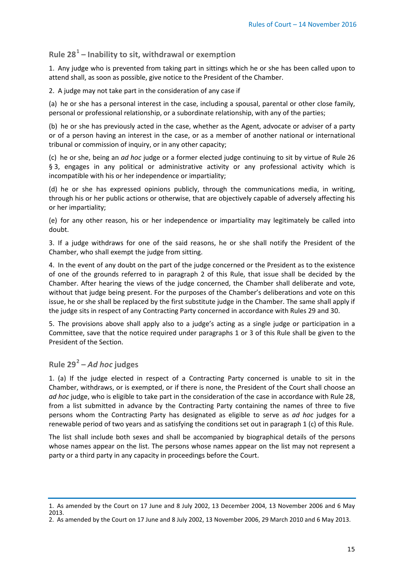## <span id="page-24-0"></span>**Rule 28[1](#page-24-2) – Inability to sit, withdrawal or exemption**

1. Any judge who is prevented from taking part in sittings which he or she has been called upon to attend shall, as soon as possible, give notice to the President of the Chamber.

2. A judge may not take part in the consideration of any case if

(a) he or she has a personal interest in the case, including a spousal, parental or other close family, personal or professional relationship, or a subordinate relationship, with any of the parties;

(b) he or she has previously acted in the case, whether as the Agent, advocate or adviser of a party or of a person having an interest in the case, or as a member of another national or international tribunal or commission of inquiry, or in any other capacity;

(c) he or she, being an *ad hoc* judge or a former elected judge continuing to sit by virtue of Rule 26 § 3, engages in any political or administrative activity or any professional activity which is incompatible with his or her independence or impartiality;

(d) he or she has expressed opinions publicly, through the communications media, in writing, through his or her public actions or otherwise, that are objectively capable of adversely affecting his or her impartiality;

(e) for any other reason, his or her independence or impartiality may legitimately be called into doubt.

3. If a judge withdraws for one of the said reasons, he or she shall notify the President of the Chamber, who shall exempt the judge from sitting.

4. In the event of any doubt on the part of the judge concerned or the President as to the existence of one of the grounds referred to in paragraph 2 of this Rule, that issue shall be decided by the Chamber. After hearing the views of the judge concerned, the Chamber shall deliberate and vote, without that judge being present. For the purposes of the Chamber's deliberations and vote on this issue, he or she shall be replaced by the first substitute judge in the Chamber. The same shall apply if the judge sits in respect of any Contracting Party concerned in accordance with Rules 29 and 30.

5. The provisions above shall apply also to a judge's acting as a single judge or participation in a Committee, save that the notice required under paragraphs 1 or 3 of this Rule shall be given to the President of the Section.

## <span id="page-24-1"></span>**Rule 29[2](#page-24-3) –** *Ad hoc* **judges**

1. (a) If the judge elected in respect of a Contracting Party concerned is unable to sit in the Chamber, withdraws, or is exempted, or if there is none, the President of the Court shall choose an *ad hoc* judge, who is eligible to take part in the consideration of the case in accordance with Rule 28, from a list submitted in advance by the Contracting Party containing the names of three to five persons whom the Contracting Party has designated as eligible to serve as *ad hoc* judges for a renewable period of two years and as satisfying the conditions set out in paragraph 1 (c) of this Rule.

The list shall include both sexes and shall be accompanied by biographical details of the persons whose names appear on the list. The persons whose names appear on the list may not represent a party or a third party in any capacity in proceedings before the Court.

<span id="page-24-2"></span><sup>1.</sup> As amended by the Court on 17 June and 8 July 2002, 13 December 2004, 13 November 2006 and 6 May 2013.

<span id="page-24-3"></span><sup>2.</sup> As amended by the Court on 17 June and 8 July 2002, 13 November 2006, 29 March 2010 and 6 May 2013.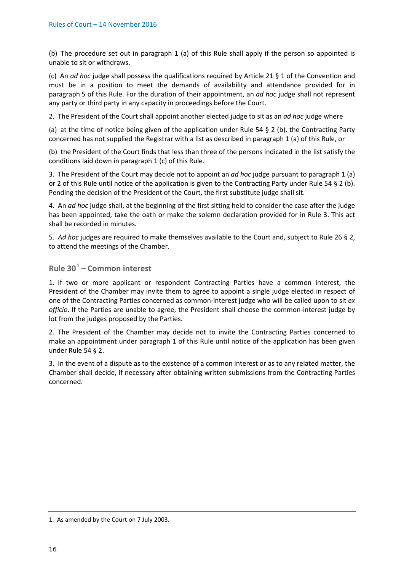(b) The procedure set out in paragraph 1 (a) of this Rule shall apply if the person so appointed is unable to sit or withdraws.

(c) An *ad hoc* judge shall possess the qualifications required by Article 21 § 1 of the Convention and must be in a position to meet the demands of availability and attendance provided for in paragraph 5 of this Rule. For the duration of their appointment, an *ad hoc* judge shall not represent any party or third party in any capacity in proceedings before the Court.

2. The President of the Court shall appoint another elected judge to sit as an *ad hoc* judge where

(a) at the time of notice being given of the application under Rule 54 § 2 (b), the Contracting Party concerned has not supplied the Registrar with a list as described in paragraph 1 (a) of this Rule, or

(b) the President of the Court finds that less than three of the persons indicated in the list satisfy the conditions laid down in paragraph 1 (c) of this Rule.

3. The President of the Court may decide not to appoint an *ad hoc* judge pursuant to paragraph 1 (a) or 2 of this Rule until notice of the application is given to the Contracting Party under Rule 54 § 2 (b). Pending the decision of the President of the Court, the first substitute judge shall sit.

4. An *ad hoc* judge shall, at the beginning of the first sitting held to consider the case after the judge has been appointed, take the oath or make the solemn declaration provided for in Rule 3. This act shall be recorded in minutes.

5. *Ad hoc* judges are required to make themselves available to the Court and, subject to Rule 26 § 2, to attend the meetings of the Chamber.

## <span id="page-25-0"></span>**Rule 30[1](#page-25-1) – Common interest**

1. If two or more applicant or respondent Contracting Parties have a common interest, the President of the Chamber may invite them to agree to appoint a single judge elected in respect of one of the Contracting Parties concerned as common-interest judge who will be called upon to sit *ex officio*. If the Parties are unable to agree, the President shall choose the common-interest judge by lot from the judges proposed by the Parties.

2. The President of the Chamber may decide not to invite the Contracting Parties concerned to make an appointment under paragraph 1 of this Rule until notice of the application has been given under Rule 54 § 2.

3. In the event of a dispute as to the existence of a common interest or as to any related matter, the Chamber shall decide, if necessary after obtaining written submissions from the Contracting Parties concerned.

<span id="page-25-1"></span><sup>1.</sup> As amended by the Court on 7 July 2003.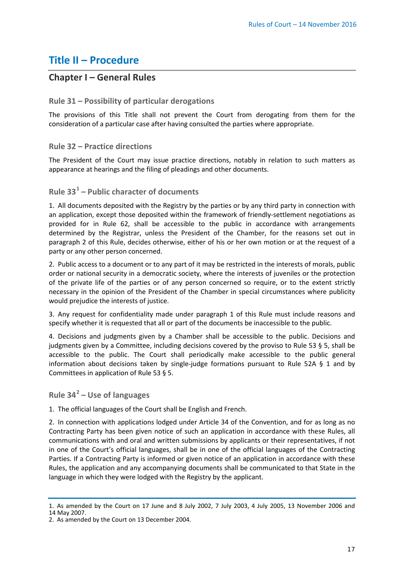# <span id="page-26-0"></span>**Title II – Procedure**

## <span id="page-26-2"></span><span id="page-26-1"></span>**Chapter I – General Rules**

### **Rule 31 – Possibility of particular derogations**

The provisions of this Title shall not prevent the Court from derogating from them for the consideration of a particular case after having consulted the parties where appropriate.

#### <span id="page-26-3"></span>**Rule 32 – Practice directions**

The President of the Court may issue practice directions, notably in relation to such matters as appearance at hearings and the filing of pleadings and other documents.

#### <span id="page-26-4"></span>**Rule 33[1](#page-26-6) – Public character of documents**

1. All documents deposited with the Registry by the parties or by any third party in connection with an application, except those deposited within the framework of friendly-settlement negotiations as provided for in Rule 62, shall be accessible to the public in accordance with arrangements determined by the Registrar, unless the President of the Chamber, for the reasons set out in paragraph 2 of this Rule, decides otherwise, either of his or her own motion or at the request of a party or any other person concerned.

2. Public access to a document or to any part of it may be restricted in the interests of morals, public order or national security in a democratic society, where the interests of juveniles or the protection of the private life of the parties or of any person concerned so require, or to the extent strictly necessary in the opinion of the President of the Chamber in special circumstances where publicity would prejudice the interests of justice.

3. Any request for confidentiality made under paragraph 1 of this Rule must include reasons and specify whether it is requested that all or part of the documents be inaccessible to the public.

4. Decisions and judgments given by a Chamber shall be accessible to the public. Decisions and judgments given by a Committee, including decisions covered by the proviso to Rule 53 § 5, shall be accessible to the public. The Court shall periodically make accessible to the public general information about decisions taken by single-judge formations pursuant to Rule 52A § 1 and by Committees in application of Rule 53 § 5.

<span id="page-26-5"></span>**Rule 34[2](#page-26-7) – Use of languages**

1. The official languages of the Court shall be English and French.

2. In connection with applications lodged under Article 34 of the Convention, and for as long as no Contracting Party has been given notice of such an application in accordance with these Rules, all communications with and oral and written submissions by applicants or their representatives, if not in one of the Court's official languages, shall be in one of the official languages of the Contracting Parties. If a Contracting Party is informed or given notice of an application in accordance with these Rules, the application and any accompanying documents shall be communicated to that State in the language in which they were lodged with the Registry by the applicant.

<span id="page-26-6"></span><sup>1.</sup> As amended by the Court on 17 June and 8 July 2002, 7 July 2003, 4 July 2005, 13 November 2006 and 14 May 2007.

<span id="page-26-7"></span><sup>2.</sup> As amended by the Court on 13 December 2004.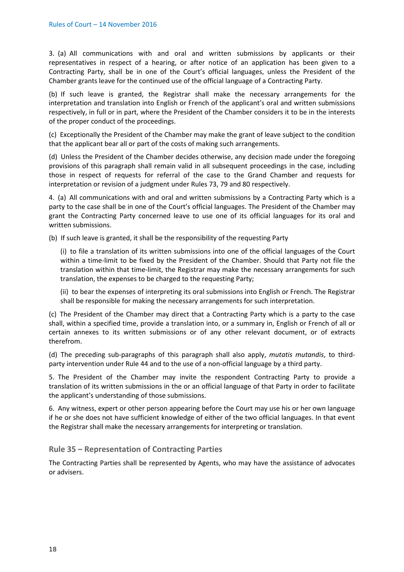3. (a) All communications with and oral and written submissions by applicants or their representatives in respect of a hearing, or after notice of an application has been given to a Contracting Party, shall be in one of the Court's official languages, unless the President of the Chamber grants leave for the continued use of the official language of a Contracting Party.

(b) If such leave is granted, the Registrar shall make the necessary arrangements for the interpretation and translation into English or French of the applicant's oral and written submissions respectively, in full or in part, where the President of the Chamber considers it to be in the interests of the proper conduct of the proceedings.

(c) Exceptionally the President of the Chamber may make the grant of leave subject to the condition that the applicant bear all or part of the costs of making such arrangements.

(d) Unless the President of the Chamber decides otherwise, any decision made under the foregoing provisions of this paragraph shall remain valid in all subsequent proceedings in the case, including those in respect of requests for referral of the case to the Grand Chamber and requests for interpretation or revision of a judgment under Rules 73, 79 and 80 respectively.

4. (a) All communications with and oral and written submissions by a Contracting Party which is a party to the case shall be in one of the Court's official languages. The President of the Chamber may grant the Contracting Party concerned leave to use one of its official languages for its oral and written submissions.

(b) If such leave is granted, it shall be the responsibility of the requesting Party

(i) to file a translation of its written submissions into one of the official languages of the Court within a time-limit to be fixed by the President of the Chamber. Should that Party not file the translation within that time-limit, the Registrar may make the necessary arrangements for such translation, the expenses to be charged to the requesting Party;

(ii) to bear the expenses of interpreting its oral submissions into English or French. The Registrar shall be responsible for making the necessary arrangements for such interpretation.

(c) The President of the Chamber may direct that a Contracting Party which is a party to the case shall, within a specified time, provide a translation into, or a summary in, English or French of all or certain annexes to its written submissions or of any other relevant document, or of extracts therefrom.

(d) The preceding sub-paragraphs of this paragraph shall also apply, *mutatis mutandis*, to thirdparty intervention under Rule 44 and to the use of a non-official language by a third party.

5. The President of the Chamber may invite the respondent Contracting Party to provide a translation of its written submissions in the or an official language of that Party in order to facilitate the applicant's understanding of those submissions.

6. Any witness, expert or other person appearing before the Court may use his or her own language if he or she does not have sufficient knowledge of either of the two official languages. In that event the Registrar shall make the necessary arrangements for interpreting or translation.

#### <span id="page-27-0"></span>**Rule 35 – Representation of Contracting Parties**

The Contracting Parties shall be represented by Agents, who may have the assistance of advocates or advisers.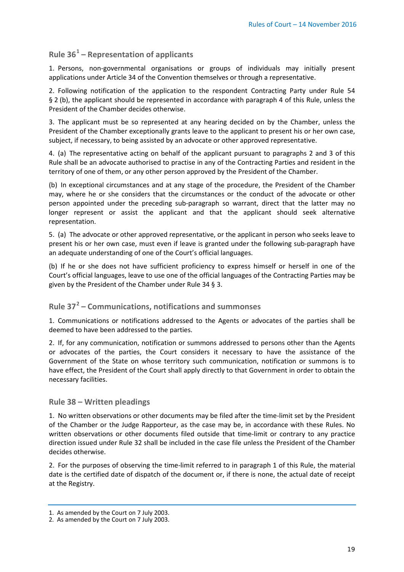## <span id="page-28-0"></span>**Rule 36[1](#page-28-3) – Representation of applicants**

1. Persons, non-governmental organisations or groups of individuals may initially present applications under Article 34 of the Convention themselves or through a representative.

2. Following notification of the application to the respondent Contracting Party under Rule 54 § 2 (b), the applicant should be represented in accordance with paragraph 4 of this Rule, unless the President of the Chamber decides otherwise.

3. The applicant must be so represented at any hearing decided on by the Chamber, unless the President of the Chamber exceptionally grants leave to the applicant to present his or her own case, subject, if necessary, to being assisted by an advocate or other approved representative.

4. (a) The representative acting on behalf of the applicant pursuant to paragraphs 2 and 3 of this Rule shall be an advocate authorised to practise in any of the Contracting Parties and resident in the territory of one of them, or any other person approved by the President of the Chamber.

(b) In exceptional circumstances and at any stage of the procedure, the President of the Chamber may, where he or she considers that the circumstances or the conduct of the advocate or other person appointed under the preceding sub-paragraph so warrant, direct that the latter may no longer represent or assist the applicant and that the applicant should seek alternative representation.

5. (a) The advocate or other approved representative, or the applicant in person who seeks leave to present his or her own case, must even if leave is granted under the following sub-paragraph have an adequate understanding of one of the Court's official languages.

(b) If he or she does not have sufficient proficiency to express himself or herself in one of the Court's official languages, leave to use one of the official languages of the Contracting Parties may be given by the President of the Chamber under Rule 34 § 3.

### <span id="page-28-1"></span>**Rule 37[2](#page-28-4) – Communications, notifications and summonses**

1. Communications or notifications addressed to the Agents or advocates of the parties shall be deemed to have been addressed to the parties.

2. If, for any communication, notification or summons addressed to persons other than the Agents or advocates of the parties, the Court considers it necessary to have the assistance of the Government of the State on whose territory such communication, notification or summons is to have effect, the President of the Court shall apply directly to that Government in order to obtain the necessary facilities.

#### <span id="page-28-2"></span>**Rule 38 – Written pleadings**

1. No written observations or other documents may be filed after the time-limit set by the President of the Chamber or the Judge Rapporteur, as the case may be, in accordance with these Rules. No written observations or other documents filed outside that time-limit or contrary to any practice direction issued under Rule 32 shall be included in the case file unless the President of the Chamber decides otherwise.

2. For the purposes of observing the time-limit referred to in paragraph 1 of this Rule, the material date is the certified date of dispatch of the document or, if there is none, the actual date of receipt at the Registry.

<span id="page-28-3"></span><sup>1.</sup> As amended by the Court on 7 July 2003.

<span id="page-28-4"></span><sup>2.</sup> As amended by the Court on 7 July 2003.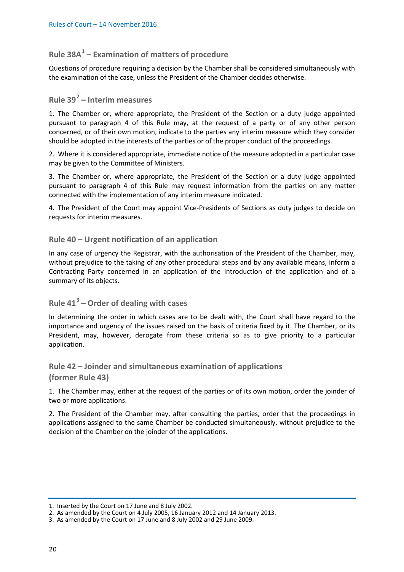## <span id="page-29-0"></span>**Rule 38A[1](#page-29-5) – Examination of matters of procedure**

Questions of procedure requiring a decision by the Chamber shall be considered simultaneously with the examination of the case, unless the President of the Chamber decides otherwise.

### <span id="page-29-1"></span>**Rule 39[2](#page-29-6) – Interim measures**

1. The Chamber or, where appropriate, the President of the Section or a duty judge appointed pursuant to paragraph 4 of this Rule may, at the request of a party or of any other person concerned, or of their own motion, indicate to the parties any interim measure which they consider should be adopted in the interests of the parties or of the proper conduct of the proceedings.

2. Where it is considered appropriate, immediate notice of the measure adopted in a particular case may be given to the Committee of Ministers.

3. The Chamber or, where appropriate, the President of the Section or a duty judge appointed pursuant to paragraph 4 of this Rule may request information from the parties on any matter connected with the implementation of any interim measure indicated.

4. The President of the Court may appoint Vice-Presidents of Sections as duty judges to decide on requests for interim measures.

#### <span id="page-29-2"></span>**Rule 40 – Urgent notification of an application**

In any case of urgency the Registrar, with the authorisation of the President of the Chamber, may, without prejudice to the taking of any other procedural steps and by any available means, inform a Contracting Party concerned in an application of the introduction of the application and of a summary of its objects.

## <span id="page-29-3"></span>**Rule 41[3](#page-29-7) – Order of dealing with cases**

In determining the order in which cases are to be dealt with, the Court shall have regard to the importance and urgency of the issues raised on the basis of criteria fixed by it. The Chamber, or its President, may, however, derogate from these criteria so as to give priority to a particular application.

<span id="page-29-4"></span>**Rule 42 – Joinder and simultaneous examination of applications**

**(former Rule 43)**

1. The Chamber may, either at the request of the parties or of its own motion, order the joinder of two or more applications.

2. The President of the Chamber may, after consulting the parties, order that the proceedings in applications assigned to the same Chamber be conducted simultaneously, without prejudice to the decision of the Chamber on the joinder of the applications.

<span id="page-29-5"></span><sup>1.</sup> Inserted by the Court on 17 June and 8 July 2002.

<sup>2.</sup> As amended by the Court on 4 July 2005, 16 January 2012 and 14 January 2013.

<span id="page-29-7"></span><span id="page-29-6"></span><sup>3.</sup> As amended by the Court on 17 June and 8 July 2002 and 29 June 2009.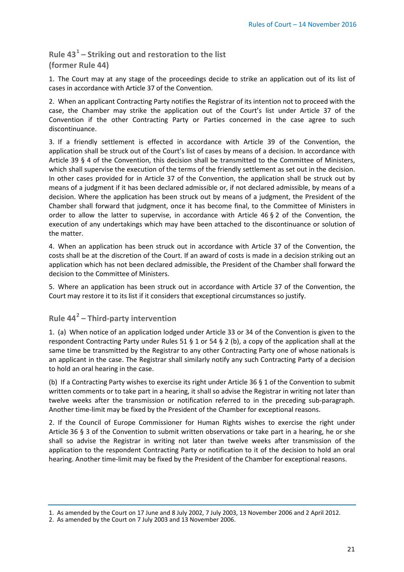<span id="page-30-0"></span>**Rule 43[1](#page-30-2) – Striking out and restoration to the list (former Rule 44)**

1. The Court may at any stage of the proceedings decide to strike an application out of its list of cases in accordance with Article 37 of the Convention.

2. When an applicant Contracting Party notifies the Registrar of its intention not to proceed with the case, the Chamber may strike the application out of the Court's list under Article 37 of the Convention if the other Contracting Party or Parties concerned in the case agree to such discontinuance.

3. If a friendly settlement is effected in accordance with Article 39 of the Convention, the application shall be struck out of the Court's list of cases by means of a decision. In accordance with Article 39 § 4 of the Convention, this decision shall be transmitted to the Committee of Ministers, which shall supervise the execution of the terms of the friendly settlement as set out in the decision. In other cases provided for in Article 37 of the Convention, the application shall be struck out by means of a judgment if it has been declared admissible or, if not declared admissible, by means of a decision. Where the application has been struck out by means of a judgment, the President of the Chamber shall forward that judgment, once it has become final, to the Committee of Ministers in order to allow the latter to supervise, in accordance with Article 46 § 2 of the Convention, the execution of any undertakings which may have been attached to the discontinuance or solution of the matter.

4. When an application has been struck out in accordance with Article 37 of the Convention, the costs shall be at the discretion of the Court. If an award of costs is made in a decision striking out an application which has not been declared admissible, the President of the Chamber shall forward the decision to the Committee of Ministers.

5. Where an application has been struck out in accordance with Article 37 of the Convention, the Court may restore it to its list if it considers that exceptional circumstances so justify.

## <span id="page-30-1"></span>**Rule 44[2](#page-30-3) – Third-party intervention**

1. (a) When notice of an application lodged under Article 33 or 34 of the Convention is given to the respondent Contracting Party under Rules 51 § 1 or 54 § 2 (b), a copy of the application shall at the same time be transmitted by the Registrar to any other Contracting Party one of whose nationals is an applicant in the case. The Registrar shall similarly notify any such Contracting Party of a decision to hold an oral hearing in the case.

(b) If a Contracting Party wishes to exercise its right under Article 36 § 1 of the Convention to submit written comments or to take part in a hearing, it shall so advise the Registrar in writing not later than twelve weeks after the transmission or notification referred to in the preceding sub-paragraph. Another time-limit may be fixed by the President of the Chamber for exceptional reasons.

2. If the Council of Europe Commissioner for Human Rights wishes to exercise the right under Article 36 § 3 of the Convention to submit written observations or take part in a hearing, he or she shall so advise the Registrar in writing not later than twelve weeks after transmission of the application to the respondent Contracting Party or notification to it of the decision to hold an oral hearing. Another time-limit may be fixed by the President of the Chamber for exceptional reasons.

<span id="page-30-2"></span><sup>1.</sup> As amended by the Court on 17 June and 8 July 2002, 7 July 2003, 13 November 2006 and 2 April 2012. 2. As amended by the Court on 7 July 2003 and 13 November 2006.

<span id="page-30-3"></span>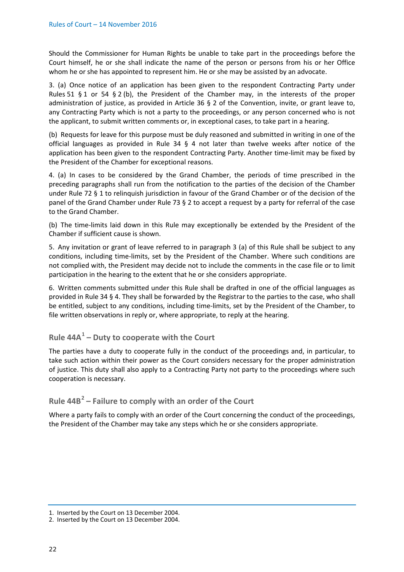Should the Commissioner for Human Rights be unable to take part in the proceedings before the Court himself, he or she shall indicate the name of the person or persons from his or her Office whom he or she has appointed to represent him. He or she may be assisted by an advocate.

3. (a) Once notice of an application has been given to the respondent Contracting Party under Rules 51 § 1 or 54 § 2 (b), the President of the Chamber may, in the interests of the proper administration of justice, as provided in Article 36 § 2 of the Convention, invite, or grant leave to, any Contracting Party which is not a party to the proceedings, or any person concerned who is not the applicant, to submit written comments or, in exceptional cases, to take part in a hearing.

(b) Requests for leave for this purpose must be duly reasoned and submitted in writing in one of the official languages as provided in Rule 34 § 4 not later than twelve weeks after notice of the application has been given to the respondent Contracting Party. Another time-limit may be fixed by the President of the Chamber for exceptional reasons.

4. (a) In cases to be considered by the Grand Chamber, the periods of time prescribed in the preceding paragraphs shall run from the notification to the parties of the decision of the Chamber under Rule 72 § 1 to relinquish jurisdiction in favour of the Grand Chamber or of the decision of the panel of the Grand Chamber under Rule 73 § 2 to accept a request by a party for referral of the case to the Grand Chamber.

(b) The time-limits laid down in this Rule may exceptionally be extended by the President of the Chamber if sufficient cause is shown.

5. Any invitation or grant of leave referred to in paragraph 3 (a) of this Rule shall be subject to any conditions, including time-limits, set by the President of the Chamber. Where such conditions are not complied with, the President may decide not to include the comments in the case file or to limit participation in the hearing to the extent that he or she considers appropriate.

6. Written comments submitted under this Rule shall be drafted in one of the official languages as provided in Rule 34 § 4. They shall be forwarded by the Registrar to the parties to the case, who shall be entitled, subject to any conditions, including time-limits, set by the President of the Chamber, to file written observations in reply or, where appropriate, to reply at the hearing.

<span id="page-31-0"></span>**Rule 44A[1](#page-31-2) – Duty to cooperate with the Court**

The parties have a duty to cooperate fully in the conduct of the proceedings and, in particular, to take such action within their power as the Court considers necessary for the proper administration of justice. This duty shall also apply to a Contracting Party not party to the proceedings where such cooperation is necessary.

### <span id="page-31-1"></span>**Rule 44B[2](#page-31-3) – Failure to comply with an order of the Court**

Where a party fails to comply with an order of the Court concerning the conduct of the proceedings, the President of the Chamber may take any steps which he or she considers appropriate.

<span id="page-31-2"></span><sup>1.</sup> Inserted by the Court on 13 December 2004.

<span id="page-31-3"></span><sup>2.</sup> Inserted by the Court on 13 December 2004.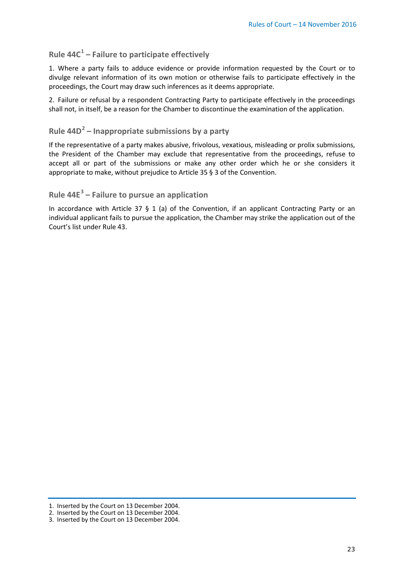## <span id="page-32-0"></span>**Rule 44C[1](#page-32-3) – Failure to participate effectively**

1. Where a party fails to adduce evidence or provide information requested by the Court or to divulge relevant information of its own motion or otherwise fails to participate effectively in the proceedings, the Court may draw such inferences as it deems appropriate.

2. Failure or refusal by a respondent Contracting Party to participate effectively in the proceedings shall not, in itself, be a reason for the Chamber to discontinue the examination of the application.

## <span id="page-32-1"></span>**Rule 44D[2](#page-32-4) – Inappropriate submissions by a party**

If the representative of a party makes abusive, frivolous, vexatious, misleading or prolix submissions, the President of the Chamber may exclude that representative from the proceedings, refuse to accept all or part of the submissions or make any other order which he or she considers it appropriate to make, without prejudice to Article 35 § 3 of the Convention.

## <span id="page-32-2"></span>**Rule 44E[3](#page-32-5) – Failure to pursue an application**

In accordance with Article 37 § 1 (a) of the Convention, if an applicant Contracting Party or an individual applicant fails to pursue the application, the Chamber may strike the application out of the Court's list under Rule 43.

<span id="page-32-3"></span><sup>1.</sup> Inserted by the Court on 13 December 2004.

<span id="page-32-4"></span><sup>2.</sup> Inserted by the Court on 13 December 2004.

<span id="page-32-5"></span><sup>3.</sup> Inserted by the Court on 13 December 2004.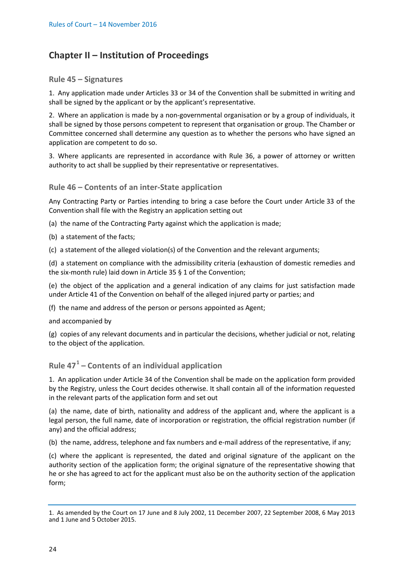# <span id="page-33-1"></span><span id="page-33-0"></span>**Chapter II – Institution of Proceedings**

#### **Rule 45 – Signatures**

1. Any application made under Articles 33 or 34 of the Convention shall be submitted in writing and shall be signed by the applicant or by the applicant's representative.

2. Where an application is made by a non-governmental organisation or by a group of individuals, it shall be signed by those persons competent to represent that organisation or group. The Chamber or Committee concerned shall determine any question as to whether the persons who have signed an application are competent to do so.

3. Where applicants are represented in accordance with Rule 36, a power of attorney or written authority to act shall be supplied by their representative or representatives.

#### <span id="page-33-2"></span>**Rule 46 – Contents of an inter-State application**

Any Contracting Party or Parties intending to bring a case before the Court under Article 33 of the Convention shall file with the Registry an application setting out

(a) the name of the Contracting Party against which the application is made;

(b) a statement of the facts;

(c) a statement of the alleged violation(s) of the Convention and the relevant arguments;

(d) a statement on compliance with the admissibility criteria (exhaustion of domestic remedies and the six-month rule) laid down in Article 35 § 1 of the Convention;

(e) the object of the application and a general indication of any claims for just satisfaction made under Article 41 of the Convention on behalf of the alleged injured party or parties; and

(f) the name and address of the person or persons appointed as Agent;

and accompanied by

(g) copies of any relevant documents and in particular the decisions, whether judicial or not, relating to the object of the application.

### <span id="page-33-3"></span>**Rule 47[1](#page-33-4) – Contents of an individual application**

1. An application under Article 34 of the Convention shall be made on the application form provided by the Registry, unless the Court decides otherwise. It shall contain all of the information requested in the relevant parts of the application form and set out

(a) the name, date of birth, nationality and address of the applicant and, where the applicant is a legal person, the full name, date of incorporation or registration, the official registration number (if any) and the official address;

(b) the name, address, telephone and fax numbers and e-mail address of the representative, if any;

(c) where the applicant is represented, the dated and original signature of the applicant on the authority section of the application form; the original signature of the representative showing that he or she has agreed to act for the applicant must also be on the authority section of the application form;

<span id="page-33-4"></span><sup>1.</sup> As amended by the Court on 17 June and 8 July 2002, 11 December 2007, 22 September 2008, 6 May 2013 and 1 June and 5 October 2015.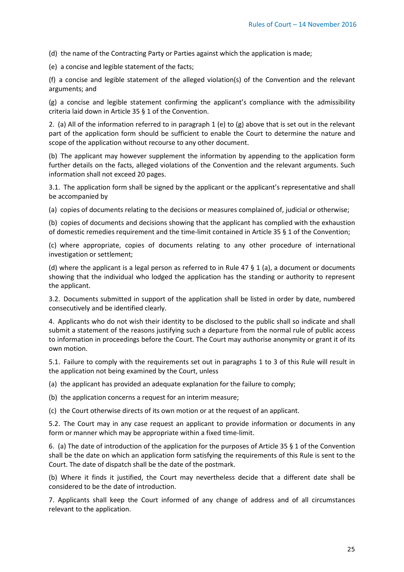(d) the name of the Contracting Party or Parties against which the application is made;

(e) a concise and legible statement of the facts;

(f) a concise and legible statement of the alleged violation(s) of the Convention and the relevant arguments; and

(g) a concise and legible statement confirming the applicant's compliance with the admissibility criteria laid down in Article 35 § 1 of the Convention.

2. (a) All of the information referred to in paragraph 1 (e) to (g) above that is set out in the relevant part of the application form should be sufficient to enable the Court to determine the nature and scope of the application without recourse to any other document.

(b) The applicant may however supplement the information by appending to the application form further details on the facts, alleged violations of the Convention and the relevant arguments. Such information shall not exceed 20 pages.

3.1. The application form shall be signed by the applicant or the applicant's representative and shall be accompanied by

(a) copies of documents relating to the decisions or measures complained of, judicial or otherwise;

(b) copies of documents and decisions showing that the applicant has complied with the exhaustion of domestic remedies requirement and the time-limit contained in Article 35 § 1 of the Convention;

(c) where appropriate, copies of documents relating to any other procedure of international investigation or settlement;

(d) where the applicant is a legal person as referred to in Rule 47 § 1 (a), a document or documents showing that the individual who lodged the application has the standing or authority to represent the applicant.

3.2. Documents submitted in support of the application shall be listed in order by date, numbered consecutively and be identified clearly.

4. Applicants who do not wish their identity to be disclosed to the public shall so indicate and shall submit a statement of the reasons justifying such a departure from the normal rule of public access to information in proceedings before the Court. The Court may authorise anonymity or grant it of its own motion.

5.1. Failure to comply with the requirements set out in paragraphs 1 to 3 of this Rule will result in the application not being examined by the Court, unless

(a) the applicant has provided an adequate explanation for the failure to comply;

(b) the application concerns a request for an interim measure;

(c) the Court otherwise directs of its own motion or at the request of an applicant.

5.2. The Court may in any case request an applicant to provide information or documents in any form or manner which may be appropriate within a fixed time-limit.

6. (a) The date of introduction of the application for the purposes of Article 35 § 1 of the Convention shall be the date on which an application form satisfying the requirements of this Rule is sent to the Court. The date of dispatch shall be the date of the postmark.

(b) Where it finds it justified, the Court may nevertheless decide that a different date shall be considered to be the date of introduction.

7. Applicants shall keep the Court informed of any change of address and of all circumstances relevant to the application.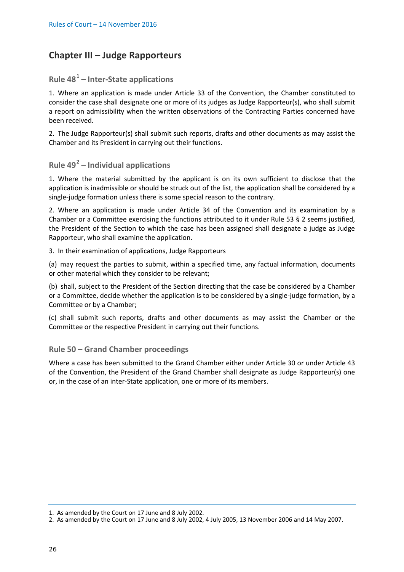# <span id="page-35-1"></span><span id="page-35-0"></span>**Chapter III – Judge Rapporteurs**

## **Rule 48[1](#page-35-4) – Inter-State applications**

1. Where an application is made under Article 33 of the Convention, the Chamber constituted to consider the case shall designate one or more of its judges as Judge Rapporteur(s), who shall submit a report on admissibility when the written observations of the Contracting Parties concerned have been received.

2. The Judge Rapporteur(s) shall submit such reports, drafts and other documents as may assist the Chamber and its President in carrying out their functions.

## <span id="page-35-2"></span>**Rule 49[2](#page-35-5) – Individual applications**

1. Where the material submitted by the applicant is on its own sufficient to disclose that the application is inadmissible or should be struck out of the list, the application shall be considered by a single-judge formation unless there is some special reason to the contrary.

2. Where an application is made under Article 34 of the Convention and its examination by a Chamber or a Committee exercising the functions attributed to it under Rule 53 § 2 seems justified, the President of the Section to which the case has been assigned shall designate a judge as Judge Rapporteur, who shall examine the application.

3. In their examination of applications, Judge Rapporteurs

(a) may request the parties to submit, within a specified time, any factual information, documents or other material which they consider to be relevant;

(b) shall, subject to the President of the Section directing that the case be considered by a Chamber or a Committee, decide whether the application is to be considered by a single-judge formation, by a Committee or by a Chamber;

(c) shall submit such reports, drafts and other documents as may assist the Chamber or the Committee or the respective President in carrying out their functions.

#### <span id="page-35-3"></span>**Rule 50 – Grand Chamber proceedings**

Where a case has been submitted to the Grand Chamber either under Article 30 or under Article 43 of the Convention, the President of the Grand Chamber shall designate as Judge Rapporteur(s) one or, in the case of an inter-State application, one or more of its members.

<span id="page-35-4"></span><sup>1.</sup> As amended by the Court on 17 June and 8 July 2002.

<span id="page-35-5"></span><sup>2.</sup> As amended by the Court on 17 June and 8 July 2002, 4 July 2005, 13 November 2006 and 14 May 2007.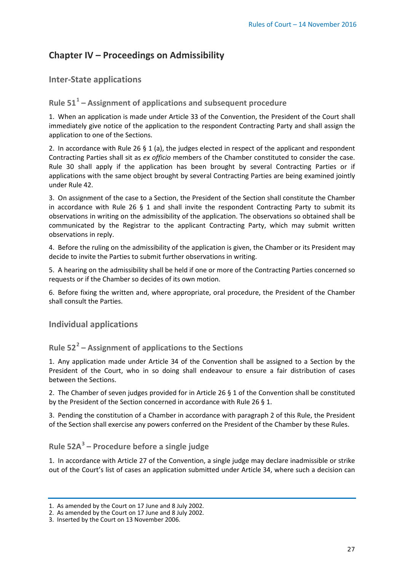# **Chapter IV – Proceedings on Admissibility**

## **Inter-State applications**

## **Rule 51[1](#page-36-0) – Assignment of applications and subsequent procedure**

1. When an application is made under Article 33 of the Convention, the President of the Court shall immediately give notice of the application to the respondent Contracting Party and shall assign the application to one of the Sections.

2. In accordance with Rule 26 § 1 (a), the judges elected in respect of the applicant and respondent Contracting Parties shall sit as *ex officio* members of the Chamber constituted to consider the case. Rule 30 shall apply if the application has been brought by several Contracting Parties or if applications with the same object brought by several Contracting Parties are being examined jointly under Rule 42.

3. On assignment of the case to a Section, the President of the Section shall constitute the Chamber in accordance with Rule 26 § 1 and shall invite the respondent Contracting Party to submit its observations in writing on the admissibility of the application. The observations so obtained shall be communicated by the Registrar to the applicant Contracting Party, which may submit written observations in reply.

4. Before the ruling on the admissibility of the application is given, the Chamber or its President may decide to invite the Parties to submit further observations in writing.

5. A hearing on the admissibility shall be held if one or more of the Contracting Parties concerned so requests or if the Chamber so decides of its own motion.

6. Before fixing the written and, where appropriate, oral procedure, the President of the Chamber shall consult the Parties.

**Individual applications**

**Rule 52[2](#page-36-1) – Assignment of applications to the Sections**

1. Any application made under Article 34 of the Convention shall be assigned to a Section by the President of the Court, who in so doing shall endeavour to ensure a fair distribution of cases between the Sections.

2. The Chamber of seven judges provided for in Article 26 § 1 of the Convention shall be constituted by the President of the Section concerned in accordance with Rule 26 § 1.

3. Pending the constitution of a Chamber in accordance with paragraph 2 of this Rule, the President of the Section shall exercise any powers conferred on the President of the Chamber by these Rules.

# **Rule 52A[3](#page-36-2) – Procedure before a single judge**

1. In accordance with Article 27 of the Convention, a single judge may declare inadmissible or strike out of the Court's list of cases an application submitted under Article 34, where such a decision can

<span id="page-36-0"></span><sup>1.</sup> As amended by the Court on 17 June and 8 July 2002.

<span id="page-36-1"></span><sup>2.</sup> As amended by the Court on 17 June and 8 July 2002.

<span id="page-36-2"></span><sup>3.</sup> Inserted by the Court on 13 November 2006.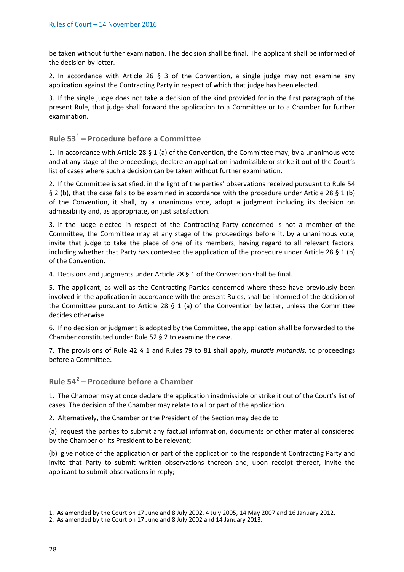be taken without further examination. The decision shall be final. The applicant shall be informed of the decision by letter.

2. In accordance with Article 26  $\S$  3 of the Convention, a single judge may not examine any application against the Contracting Party in respect of which that judge has been elected.

3. If the single judge does not take a decision of the kind provided for in the first paragraph of the present Rule, that judge shall forward the application to a Committee or to a Chamber for further examination.

**Rule 53[1](#page-37-0) – Procedure before a Committee**

1. In accordance with Article 28 § 1 (a) of the Convention, the Committee may, by a unanimous vote and at any stage of the proceedings, declare an application inadmissible or strike it out of the Court's list of cases where such a decision can be taken without further examination.

2. If the Committee is satisfied, in the light of the parties' observations received pursuant to Rule 54 § 2 (b), that the case falls to be examined in accordance with the procedure under Article 28 § 1 (b) of the Convention, it shall, by a unanimous vote, adopt a judgment including its decision on admissibility and, as appropriate, on just satisfaction.

3. If the judge elected in respect of the Contracting Party concerned is not a member of the Committee, the Committee may at any stage of the proceedings before it, by a unanimous vote, invite that judge to take the place of one of its members, having regard to all relevant factors, including whether that Party has contested the application of the procedure under Article 28 § 1 (b) of the Convention.

4. Decisions and judgments under Article 28 § 1 of the Convention shall be final.

5. The applicant, as well as the Contracting Parties concerned where these have previously been involved in the application in accordance with the present Rules, shall be informed of the decision of the Committee pursuant to Article 28  $\S$  1 (a) of the Convention by letter, unless the Committee decides otherwise.

6. If no decision or judgment is adopted by the Committee, the application shall be forwarded to the Chamber constituted under Rule 52 § 2 to examine the case.

7. The provisions of Rule 42 § 1 and Rules 79 to 81 shall apply, *mutatis mutandis*, to proceedings before a Committee.

**Rule 54[2](#page-37-1) – Procedure before a Chamber**

1. The Chamber may at once declare the application inadmissible or strike it out of the Court's list of cases. The decision of the Chamber may relate to all or part of the application.

2. Alternatively, the Chamber or the President of the Section may decide to

(a) request the parties to submit any factual information, documents or other material considered by the Chamber or its President to be relevant;

(b) give notice of the application or part of the application to the respondent Contracting Party and invite that Party to submit written observations thereon and, upon receipt thereof, invite the applicant to submit observations in reply;

<span id="page-37-0"></span><sup>1.</sup> As amended by the Court on 17 June and 8 July 2002, 4 July 2005, 14 May 2007 and 16 January 2012.

<span id="page-37-1"></span><sup>2.</sup> As amended by the Court on 17 June and 8 July 2002 and 14 January 2013.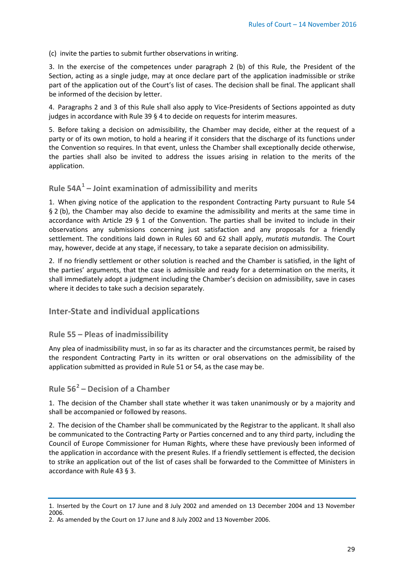(c) invite the parties to submit further observations in writing.

3. In the exercise of the competences under paragraph 2 (b) of this Rule, the President of the Section, acting as a single judge, may at once declare part of the application inadmissible or strike part of the application out of the Court's list of cases. The decision shall be final. The applicant shall be informed of the decision by letter.

4. Paragraphs 2 and 3 of this Rule shall also apply to Vice-Presidents of Sections appointed as duty judges in accordance with Rule 39 § 4 to decide on requests for interim measures.

5. Before taking a decision on admissibility, the Chamber may decide, either at the request of a party or of its own motion, to hold a hearing if it considers that the discharge of its functions under the Convention so requires. In that event, unless the Chamber shall exceptionally decide otherwise, the parties shall also be invited to address the issues arising in relation to the merits of the application.

**Rule 54A[1](#page-38-0) – Joint examination of admissibility and merits**

1. When giving notice of the application to the respondent Contracting Party pursuant to Rule 54 § 2 (b), the Chamber may also decide to examine the admissibility and merits at the same time in accordance with Article 29 § 1 of the Convention. The parties shall be invited to include in their observations any submissions concerning just satisfaction and any proposals for a friendly settlement. The conditions laid down in Rules 60 and 62 shall apply, *mutatis mutandis*. The Court may, however, decide at any stage, if necessary, to take a separate decision on admissibility.

2. If no friendly settlement or other solution is reached and the Chamber is satisfied, in the light of the parties' arguments, that the case is admissible and ready for a determination on the merits, it shall immediately adopt a judgment including the Chamber's decision on admissibility, save in cases where it decides to take such a decision separately.

**Inter-State and individual applications**

**Rule 55 – Pleas of inadmissibility**

Any plea of inadmissibility must, in so far as its character and the circumstances permit, be raised by the respondent Contracting Party in its written or oral observations on the admissibility of the application submitted as provided in Rule 51 or 54, as the case may be.

**Rule 56[2](#page-38-1) – Decision of a Chamber**

1. The decision of the Chamber shall state whether it was taken unanimously or by a majority and shall be accompanied or followed by reasons.

2. The decision of the Chamber shall be communicated by the Registrar to the applicant. It shall also be communicated to the Contracting Party or Parties concerned and to any third party, including the Council of Europe Commissioner for Human Rights, where these have previously been informed of the application in accordance with the present Rules. If a friendly settlement is effected, the decision to strike an application out of the list of cases shall be forwarded to the Committee of Ministers in accordance with Rule 43 § 3.

<span id="page-38-0"></span><sup>1.</sup> Inserted by the Court on 17 June and 8 July 2002 and amended on 13 December 2004 and 13 November 2006.

<span id="page-38-1"></span><sup>2.</sup> As amended by the Court on 17 June and 8 July 2002 and 13 November 2006.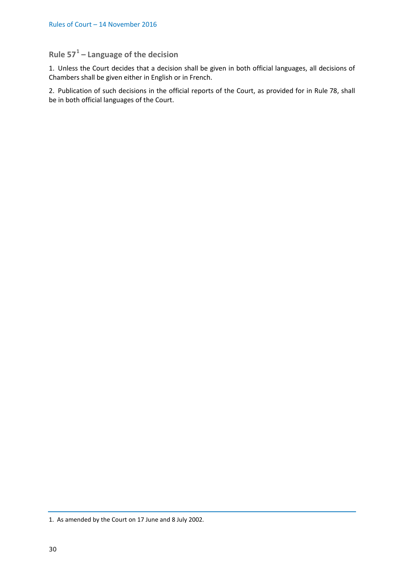**Rule 57[1](#page-39-0) – Language of the decision**

1. Unless the Court decides that a decision shall be given in both official languages, all decisions of Chambers shall be given either in English or in French.

2. Publication of such decisions in the official reports of the Court, as provided for in Rule 78, shall be in both official languages of the Court.

<span id="page-39-0"></span><sup>1.</sup> As amended by the Court on 17 June and 8 July 2002.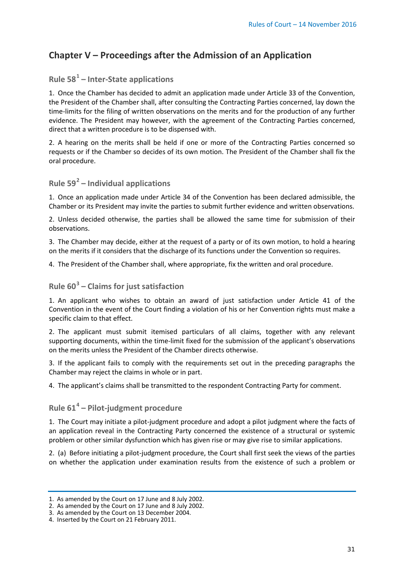# **Chapter V – Proceedings after the Admission of an Application**

## **Rule 58[1](#page-40-0) – Inter-State applications**

1. Once the Chamber has decided to admit an application made under Article 33 of the Convention, the President of the Chamber shall, after consulting the Contracting Parties concerned, lay down the time-limits for the filing of written observations on the merits and for the production of any further evidence. The President may however, with the agreement of the Contracting Parties concerned, direct that a written procedure is to be dispensed with.

2. A hearing on the merits shall be held if one or more of the Contracting Parties concerned so requests or if the Chamber so decides of its own motion. The President of the Chamber shall fix the oral procedure.

## **Rule 59[2](#page-40-1) – Individual applications**

1. Once an application made under Article 34 of the Convention has been declared admissible, the Chamber or its President may invite the parties to submit further evidence and written observations.

2. Unless decided otherwise, the parties shall be allowed the same time for submission of their observations.

3. The Chamber may decide, either at the request of a party or of its own motion, to hold a hearing on the merits if it considers that the discharge of its functions under the Convention so requires.

4. The President of the Chamber shall, where appropriate, fix the written and oral procedure.

## **Rule 60[3](#page-40-2) – Claims for just satisfaction**

1. An applicant who wishes to obtain an award of just satisfaction under Article 41 of the Convention in the event of the Court finding a violation of his or her Convention rights must make a specific claim to that effect.

2. The applicant must submit itemised particulars of all claims, together with any relevant supporting documents, within the time-limit fixed for the submission of the applicant's observations on the merits unless the President of the Chamber directs otherwise.

3. If the applicant fails to comply with the requirements set out in the preceding paragraphs the Chamber may reject the claims in whole or in part.

4. The applicant's claims shall be transmitted to the respondent Contracting Party for comment.

## **Rule 61[4](#page-40-3) – Pilot-judgment procedure**

1. The Court may initiate a pilot-judgment procedure and adopt a pilot judgment where the facts of an application reveal in the Contracting Party concerned the existence of a structural or systemic problem or other similar dysfunction which has given rise or may give rise to similar applications.

2. (a) Before initiating a pilot-judgment procedure, the Court shall first seek the views of the parties on whether the application under examination results from the existence of such a problem or

<span id="page-40-0"></span><sup>1.</sup> As amended by the Court on 17 June and 8 July 2002.

<span id="page-40-1"></span><sup>2.</sup> As amended by the Court on 17 June and 8 July 2002.

<span id="page-40-2"></span><sup>3.</sup> As amended by the Court on 13 December 2004.

<span id="page-40-3"></span><sup>4.</sup> Inserted by the Court on 21 February 2011.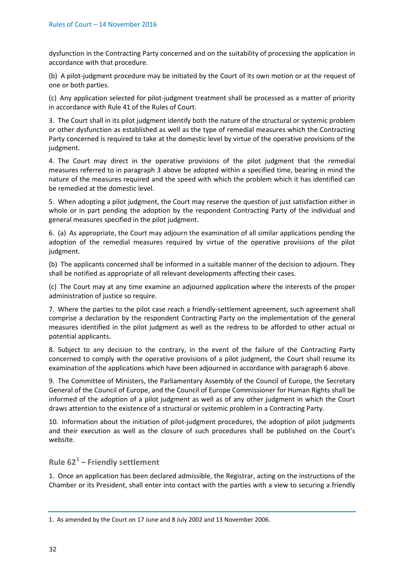dysfunction in the Contracting Party concerned and on the suitability of processing the application in accordance with that procedure.

(b) A pilot-judgment procedure may be initiated by the Court of its own motion or at the request of one or both parties.

(c) Any application selected for pilot-judgment treatment shall be processed as a matter of priority in accordance with Rule 41 of the Rules of Court.

3. The Court shall in its pilot judgment identify both the nature of the structural or systemic problem or other dysfunction as established as well as the type of remedial measures which the Contracting Party concerned is required to take at the domestic level by virtue of the operative provisions of the judgment.

4. The Court may direct in the operative provisions of the pilot judgment that the remedial measures referred to in paragraph 3 above be adopted within a specified time, bearing in mind the nature of the measures required and the speed with which the problem which it has identified can be remedied at the domestic level.

5. When adopting a pilot judgment, the Court may reserve the question of just satisfaction either in whole or in part pending the adoption by the respondent Contracting Party of the individual and general measures specified in the pilot judgment.

6. (a) As appropriate, the Court may adjourn the examination of all similar applications pending the adoption of the remedial measures required by virtue of the operative provisions of the pilot judgment.

(b) The applicants concerned shall be informed in a suitable manner of the decision to adjourn. They shall be notified as appropriate of all relevant developments affecting their cases.

(c) The Court may at any time examine an adjourned application where the interests of the proper administration of justice so require.

7. Where the parties to the pilot case reach a friendly-settlement agreement, such agreement shall comprise a declaration by the respondent Contracting Party on the implementation of the general measures identified in the pilot judgment as well as the redress to be afforded to other actual or potential applicants.

8. Subject to any decision to the contrary, in the event of the failure of the Contracting Party concerned to comply with the operative provisions of a pilot judgment, the Court shall resume its examination of the applications which have been adjourned in accordance with paragraph 6 above.

9. The Committee of Ministers, the Parliamentary Assembly of the Council of Europe, the Secretary General of the Council of Europe, and the Council of Europe Commissioner for Human Rights shall be informed of the adoption of a pilot judgment as well as of any other judgment in which the Court draws attention to the existence of a structural or systemic problem in a Contracting Party.

10. Information about the initiation of pilot-judgment procedures, the adoption of pilot judgments and their execution as well as the closure of such procedures shall be published on the Court's website.

**Rule 62[1](#page-41-0) – Friendly settlement**

1. Once an application has been declared admissible, the Registrar, acting on the instructions of the Chamber or its President, shall enter into contact with the parties with a view to securing a friendly

<span id="page-41-0"></span><sup>1.</sup> As amended by the Court on 17 June and 8 July 2002 and 13 November 2006.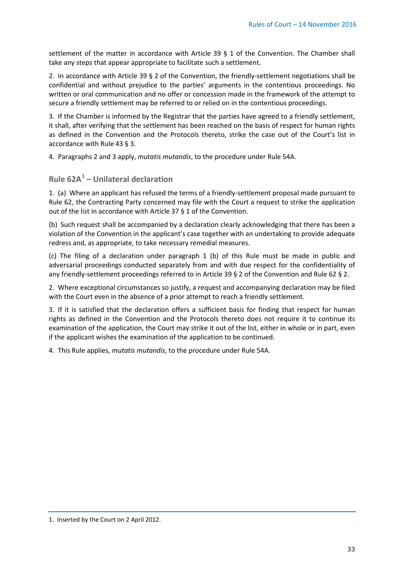settlement of the matter in accordance with Article 39 § 1 of the Convention. The Chamber shall take any steps that appear appropriate to facilitate such a settlement.

2. In accordance with Article 39 § 2 of the Convention, the friendly-settlement negotiations shall be confidential and without prejudice to the parties' arguments in the contentious proceedings. No written or oral communication and no offer or concession made in the framework of the attempt to secure a friendly settlement may be referred to or relied on in the contentious proceedings.

3. If the Chamber is informed by the Registrar that the parties have agreed to a friendly settlement, it shall, after verifying that the settlement has been reached on the basis of respect for human rights as defined in the Convention and the Protocols thereto, strike the case out of the Court's list in accordance with Rule 43 § 3.

4. Paragraphs 2 and 3 apply, *mutatis mutandis*, to the procedure under Rule 54A.

## **Rule 62A[1](#page-42-0) – Unilateral declaration**

1. (a) Where an applicant has refused the terms of a friendly-settlement proposal made pursuant to Rule 62, the Contracting Party concerned may file with the Court a request to strike the application out of the list in accordance with Article 37 § 1 of the Convention.

(b) Such request shall be accompanied by a declaration clearly acknowledging that there has been a violation of the Convention in the applicant's case together with an undertaking to provide adequate redress and, as appropriate, to take necessary remedial measures.

(c) The filing of a declaration under paragraph 1 (b) of this Rule must be made in public and adversarial proceedings conducted separately from and with due respect for the confidentiality of any friendly-settlement proceedings referred to in Article 39 § 2 of the Convention and Rule 62 § 2.

2. Where exceptional circumstances so justify, a request and accompanying declaration may be filed with the Court even in the absence of a prior attempt to reach a friendly settlement.

3. If it is satisfied that the declaration offers a sufficient basis for finding that respect for human rights as defined in the Convention and the Protocols thereto does not require it to continue its examination of the application, the Court may strike it out of the list, either in whole or in part, even if the applicant wishes the examination of the application to be continued.

4. This Rule applies, *mutatis mutandis*, to the procedure under Rule 54A.

<span id="page-42-0"></span><sup>1.</sup> Inserted by the Court on 2 April 2012.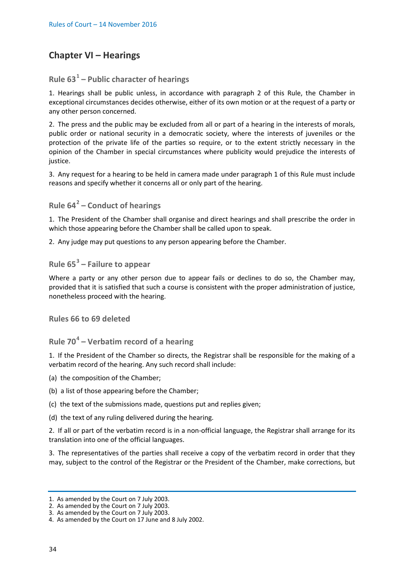# **Chapter VI – Hearings**

## **Rule 63[1](#page-43-0) – Public character of hearings**

1. Hearings shall be public unless, in accordance with paragraph 2 of this Rule, the Chamber in exceptional circumstances decides otherwise, either of its own motion or at the request of a party or any other person concerned.

2. The press and the public may be excluded from all or part of a hearing in the interests of morals, public order or national security in a democratic society, where the interests of juveniles or the protection of the private life of the parties so require, or to the extent strictly necessary in the opinion of the Chamber in special circumstances where publicity would prejudice the interests of justice.

3. Any request for a hearing to be held in camera made under paragraph 1 of this Rule must include reasons and specify whether it concerns all or only part of the hearing.

**Rule 64[2](#page-43-1) – Conduct of hearings**

1. The President of the Chamber shall organise and direct hearings and shall prescribe the order in which those appearing before the Chamber shall be called upon to speak.

2. Any judge may put questions to any person appearing before the Chamber.

**Rule 65[3](#page-43-2) – Failure to appear**

Where a party or any other person due to appear fails or declines to do so, the Chamber may, provided that it is satisfied that such a course is consistent with the proper administration of justice, nonetheless proceed with the hearing.

**Rules 66 to 69 deleted**

**Rule 70[4](#page-43-3) – Verbatim record of a hearing**

1. If the President of the Chamber so directs, the Registrar shall be responsible for the making of a verbatim record of the hearing. Any such record shall include:

- (a) the composition of the Chamber;
- (b) a list of those appearing before the Chamber;
- (c) the text of the submissions made, questions put and replies given;
- (d) the text of any ruling delivered during the hearing.

2. If all or part of the verbatim record is in a non-official language, the Registrar shall arrange for its translation into one of the official languages.

3. The representatives of the parties shall receive a copy of the verbatim record in order that they may, subject to the control of the Registrar or the President of the Chamber, make corrections, but

<span id="page-43-0"></span><sup>1.</sup> As amended by the Court on 7 July 2003.

<span id="page-43-1"></span><sup>2.</sup> As amended by the Court on 7 July 2003.

<span id="page-43-2"></span><sup>3.</sup> As amended by the Court on 7 July 2003.

<span id="page-43-3"></span><sup>4.</sup> As amended by the Court on 17 June and 8 July 2002.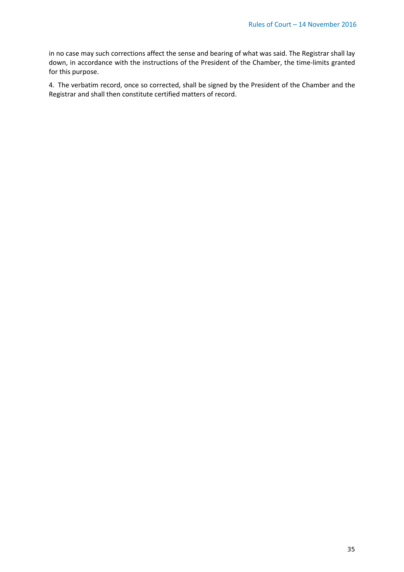in no case may such corrections affect the sense and bearing of what was said. The Registrar shall lay down, in accordance with the instructions of the President of the Chamber, the time-limits granted for this purpose.

4. The verbatim record, once so corrected, shall be signed by the President of the Chamber and the Registrar and shall then constitute certified matters of record.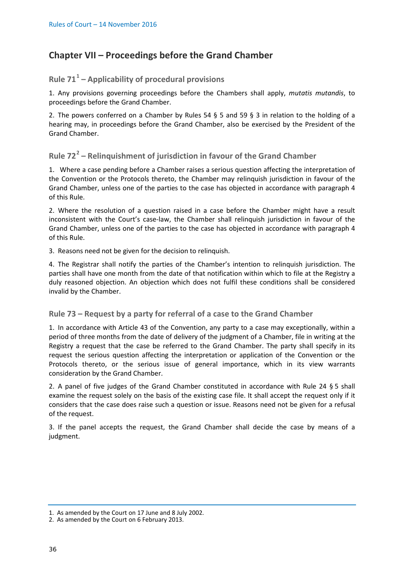# **Chapter VII – Proceedings before the Grand Chamber**

**Rule 71[1](#page-45-0) – Applicability of procedural provisions**

1. Any provisions governing proceedings before the Chambers shall apply, *mutatis mutandis*, to proceedings before the Grand Chamber.

2. The powers conferred on a Chamber by Rules 54 § 5 and 59 § 3 in relation to the holding of a hearing may, in proceedings before the Grand Chamber, also be exercised by the President of the Grand Chamber.

## **Rule 72[2](#page-45-1) – Relinquishment of jurisdiction in favour of the Grand Chamber**

1. Where a case pending before a Chamber raises a serious question affecting the interpretation of the Convention or the Protocols thereto, the Chamber may relinquish jurisdiction in favour of the Grand Chamber, unless one of the parties to the case has objected in accordance with paragraph 4 of this Rule.

2. Where the resolution of a question raised in a case before the Chamber might have a result inconsistent with the Court's case-law, the Chamber shall relinquish jurisdiction in favour of the Grand Chamber, unless one of the parties to the case has objected in accordance with paragraph 4 of this Rule.

3. Reasons need not be given for the decision to relinquish.

4. The Registrar shall notify the parties of the Chamber's intention to relinquish jurisdiction. The parties shall have one month from the date of that notification within which to file at the Registry a duly reasoned objection. An objection which does not fulfil these conditions shall be considered invalid by the Chamber.

## **Rule 73 – Request by a party for referral of a case to the Grand Chamber**

1. In accordance with Article 43 of the Convention, any party to a case may exceptionally, within a period of three months from the date of delivery of the judgment of a Chamber, file in writing at the Registry a request that the case be referred to the Grand Chamber. The party shall specify in its request the serious question affecting the interpretation or application of the Convention or the Protocols thereto, or the serious issue of general importance, which in its view warrants consideration by the Grand Chamber.

2. A panel of five judges of the Grand Chamber constituted in accordance with Rule 24 § 5 shall examine the request solely on the basis of the existing case file. It shall accept the request only if it considers that the case does raise such a question or issue. Reasons need not be given for a refusal of the request.

3. If the panel accepts the request, the Grand Chamber shall decide the case by means of a judgment.

<span id="page-45-0"></span><sup>1.</sup> As amended by the Court on 17 June and 8 July 2002.

<span id="page-45-1"></span><sup>2.</sup> As amended by the Court on 6 February 2013.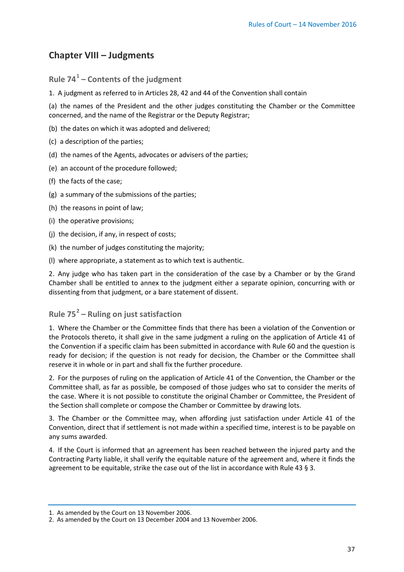## **Chapter VIII – Judgments**

**Rule 74[1](#page-46-0) – Contents of the judgment**

1. A judgment as referred to in Articles 28, 42 and 44 of the Convention shall contain

(a) the names of the President and the other judges constituting the Chamber or the Committee concerned, and the name of the Registrar or the Deputy Registrar;

(b) the dates on which it was adopted and delivered;

(c) a description of the parties;

(d) the names of the Agents, advocates or advisers of the parties;

(e) an account of the procedure followed;

(f) the facts of the case;

(g) a summary of the submissions of the parties;

(h) the reasons in point of law;

(i) the operative provisions;

(j) the decision, if any, in respect of costs;

(k) the number of judges constituting the majority;

(l) where appropriate, a statement as to which text is authentic.

2. Any judge who has taken part in the consideration of the case by a Chamber or by the Grand Chamber shall be entitled to annex to the judgment either a separate opinion, concurring with or dissenting from that judgment, or a bare statement of dissent.

## **Rule 75[2](#page-46-1) – Ruling on just satisfaction**

1. Where the Chamber or the Committee finds that there has been a violation of the Convention or the Protocols thereto, it shall give in the same judgment a ruling on the application of Article 41 of the Convention if a specific claim has been submitted in accordance with Rule 60 and the question is ready for decision; if the question is not ready for decision, the Chamber or the Committee shall reserve it in whole or in part and shall fix the further procedure.

2. For the purposes of ruling on the application of Article 41 of the Convention, the Chamber or the Committee shall, as far as possible, be composed of those judges who sat to consider the merits of the case. Where it is not possible to constitute the original Chamber or Committee, the President of the Section shall complete or compose the Chamber or Committee by drawing lots.

3. The Chamber or the Committee may, when affording just satisfaction under Article 41 of the Convention, direct that if settlement is not made within a specified time, interest is to be payable on any sums awarded.

4. If the Court is informed that an agreement has been reached between the injured party and the Contracting Party liable, it shall verify the equitable nature of the agreement and, where it finds the agreement to be equitable, strike the case out of the list in accordance with Rule 43 § 3.

<span id="page-46-0"></span><sup>1.</sup> As amended by the Court on 13 November 2006.

<span id="page-46-1"></span><sup>2.</sup> As amended by the Court on 13 December 2004 and 13 November 2006.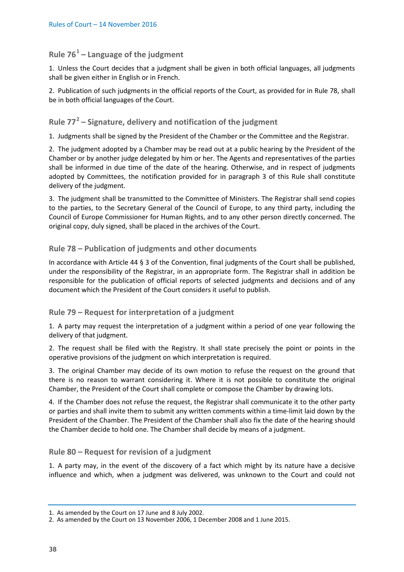## **Rule 76[1](#page-47-0) – Language of the judgment**

1. Unless the Court decides that a judgment shall be given in both official languages, all judgments shall be given either in English or in French.

2. Publication of such judgments in the official reports of the Court, as provided for in Rule 78, shall be in both official languages of the Court.

## **Rule 77[2](#page-47-1) – Signature, delivery and notification of the judgment**

1. Judgments shall be signed by the President of the Chamber or the Committee and the Registrar.

2. The judgment adopted by a Chamber may be read out at a public hearing by the President of the Chamber or by another judge delegated by him or her. The Agents and representatives of the parties shall be informed in due time of the date of the hearing. Otherwise, and in respect of judgments adopted by Committees, the notification provided for in paragraph 3 of this Rule shall constitute delivery of the judgment.

3. The judgment shall be transmitted to the Committee of Ministers. The Registrar shall send copies to the parties, to the Secretary General of the Council of Europe, to any third party, including the Council of Europe Commissioner for Human Rights, and to any other person directly concerned. The original copy, duly signed, shall be placed in the archives of the Court.

## **Rule 78 – Publication of judgments and other documents**

In accordance with Article 44 § 3 of the Convention, final judgments of the Court shall be published, under the responsibility of the Registrar, in an appropriate form. The Registrar shall in addition be responsible for the publication of official reports of selected judgments and decisions and of any document which the President of the Court considers it useful to publish.

## **Rule 79 – Request for interpretation of a judgment**

1. A party may request the interpretation of a judgment within a period of one year following the delivery of that judgment.

2. The request shall be filed with the Registry. It shall state precisely the point or points in the operative provisions of the judgment on which interpretation is required.

3. The original Chamber may decide of its own motion to refuse the request on the ground that there is no reason to warrant considering it. Where it is not possible to constitute the original Chamber, the President of the Court shall complete or compose the Chamber by drawing lots.

4. If the Chamber does not refuse the request, the Registrar shall communicate it to the other party or parties and shall invite them to submit any written comments within a time-limit laid down by the President of the Chamber. The President of the Chamber shall also fix the date of the hearing should the Chamber decide to hold one. The Chamber shall decide by means of a judgment.

## **Rule 80 – Request for revision of a judgment**

1. A party may, in the event of the discovery of a fact which might by its nature have a decisive influence and which, when a judgment was delivered, was unknown to the Court and could not

<span id="page-47-0"></span><sup>1.</sup> As amended by the Court on 17 June and 8 July 2002.

<span id="page-47-1"></span><sup>2.</sup> As amended by the Court on 13 November 2006, 1 December 2008 and 1 June 2015.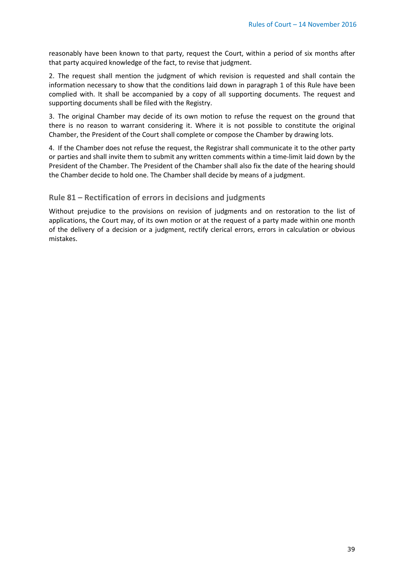reasonably have been known to that party, request the Court, within a period of six months after that party acquired knowledge of the fact, to revise that judgment.

2. The request shall mention the judgment of which revision is requested and shall contain the information necessary to show that the conditions laid down in paragraph 1 of this Rule have been complied with. It shall be accompanied by a copy of all supporting documents. The request and supporting documents shall be filed with the Registry.

3. The original Chamber may decide of its own motion to refuse the request on the ground that there is no reason to warrant considering it. Where it is not possible to constitute the original Chamber, the President of the Court shall complete or compose the Chamber by drawing lots.

4. If the Chamber does not refuse the request, the Registrar shall communicate it to the other party or parties and shall invite them to submit any written comments within a time-limit laid down by the President of the Chamber. The President of the Chamber shall also fix the date of the hearing should the Chamber decide to hold one. The Chamber shall decide by means of a judgment.

## **Rule 81 – Rectification of errors in decisions and judgments**

Without prejudice to the provisions on revision of judgments and on restoration to the list of applications, the Court may, of its own motion or at the request of a party made within one month of the delivery of a decision or a judgment, rectify clerical errors, errors in calculation or obvious mistakes.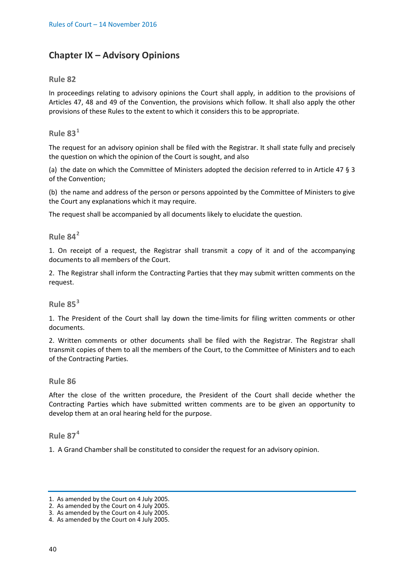# **Chapter IX – Advisory Opinions**

## **Rule 82**

In proceedings relating to advisory opinions the Court shall apply, in addition to the provisions of Articles 47, 48 and 49 of the Convention, the provisions which follow. It shall also apply the other provisions of these Rules to the extent to which it considers this to be appropriate.

**Rule 83[1](#page-49-0)**

The request for an advisory opinion shall be filed with the Registrar. It shall state fully and precisely the question on which the opinion of the Court is sought, and also

(a) the date on which the Committee of Ministers adopted the decision referred to in Article 47 § 3 of the Convention;

(b) the name and address of the person or persons appointed by the Committee of Ministers to give the Court any explanations which it may require.

The request shall be accompanied by all documents likely to elucidate the question.

**Rule 84[2](#page-49-1)**

1. On receipt of a request, the Registrar shall transmit a copy of it and of the accompanying documents to all members of the Court.

2. The Registrar shall inform the Contracting Parties that they may submit written comments on the request.

**Rule 85[3](#page-49-2)**

1. The President of the Court shall lay down the time-limits for filing written comments or other documents.

2. Written comments or other documents shall be filed with the Registrar. The Registrar shall transmit copies of them to all the members of the Court, to the Committee of Ministers and to each of the Contracting Parties.

**Rule 86**

After the close of the written procedure, the President of the Court shall decide whether the Contracting Parties which have submitted written comments are to be given an opportunity to develop them at an oral hearing held for the purpose.

**Rule 87[4](#page-49-3)**

1. A Grand Chamber shall be constituted to consider the request for an advisory opinion.

<span id="page-49-0"></span><sup>1.</sup> As amended by the Court on 4 July 2005.

<span id="page-49-1"></span><sup>2.</sup> As amended by the Court on 4 July 2005.

<span id="page-49-2"></span><sup>3.</sup> As amended by the Court on 4 July 2005.

<span id="page-49-3"></span><sup>4.</sup> As amended by the Court on 4 July 2005.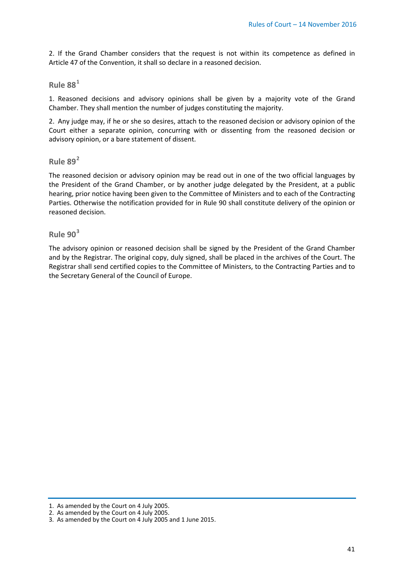2. If the Grand Chamber considers that the request is not within its competence as defined in Article 47 of the Convention, it shall so declare in a reasoned decision.

## **Rule 88[1](#page-50-0)**

1. Reasoned decisions and advisory opinions shall be given by a majority vote of the Grand Chamber. They shall mention the number of judges constituting the majority.

2. Any judge may, if he or she so desires, attach to the reasoned decision or advisory opinion of the Court either a separate opinion, concurring with or dissenting from the reasoned decision or advisory opinion, or a bare statement of dissent.

## **Rule 89[2](#page-50-1)**

The reasoned decision or advisory opinion may be read out in one of the two official languages by the President of the Grand Chamber, or by another judge delegated by the President, at a public hearing, prior notice having been given to the Committee of Ministers and to each of the Contracting Parties. Otherwise the notification provided for in Rule 90 shall constitute delivery of the opinion or reasoned decision.

## **Rule 90[3](#page-50-2)**

The advisory opinion or reasoned decision shall be signed by the President of the Grand Chamber and by the Registrar. The original copy, duly signed, shall be placed in the archives of the Court. The Registrar shall send certified copies to the Committee of Ministers, to the Contracting Parties and to the Secretary General of the Council of Europe.

<span id="page-50-0"></span><sup>1.</sup> As amended by the Court on 4 July 2005.

<span id="page-50-1"></span><sup>2.</sup> As amended by the Court on 4 July 2005.

<span id="page-50-2"></span><sup>3.</sup> As amended by the Court on 4 July 2005 and 1 June 2015.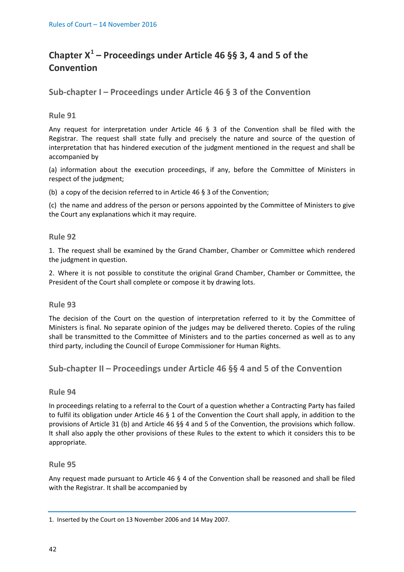# **Chapter X[1](#page-51-0) – Proceedings under Article 46 §§ 3, 4 and 5 of the Convention**

**Sub-chapter I – Proceedings under Article 46 § 3 of the Convention**

## **Rule 91**

Any request for interpretation under Article 46 § 3 of the Convention shall be filed with the Registrar. The request shall state fully and precisely the nature and source of the question of interpretation that has hindered execution of the judgment mentioned in the request and shall be accompanied by

(a) information about the execution proceedings, if any, before the Committee of Ministers in respect of the judgment;

(b) a copy of the decision referred to in Article 46 § 3 of the Convention;

(c) the name and address of the person or persons appointed by the Committee of Ministers to give the Court any explanations which it may require.

## **Rule 92**

1. The request shall be examined by the Grand Chamber, Chamber or Committee which rendered the judgment in question.

2. Where it is not possible to constitute the original Grand Chamber, Chamber or Committee, the President of the Court shall complete or compose it by drawing lots.

## **Rule 93**

The decision of the Court on the question of interpretation referred to it by the Committee of Ministers is final. No separate opinion of the judges may be delivered thereto. Copies of the ruling shall be transmitted to the Committee of Ministers and to the parties concerned as well as to any third party, including the Council of Europe Commissioner for Human Rights.

## **Sub-chapter II – Proceedings under Article 46 §§ 4 and 5 of the Convention**

## **Rule 94**

In proceedings relating to a referral to the Court of a question whether a Contracting Party has failed to fulfil its obligation under Article 46 § 1 of the Convention the Court shall apply, in addition to the provisions of Article 31 (b) and Article 46 §§ 4 and 5 of the Convention, the provisions which follow. It shall also apply the other provisions of these Rules to the extent to which it considers this to be appropriate.

## **Rule 95**

Any request made pursuant to Article 46 § 4 of the Convention shall be reasoned and shall be filed with the Registrar. It shall be accompanied by

<span id="page-51-0"></span><sup>1.</sup> Inserted by the Court on 13 November 2006 and 14 May 2007.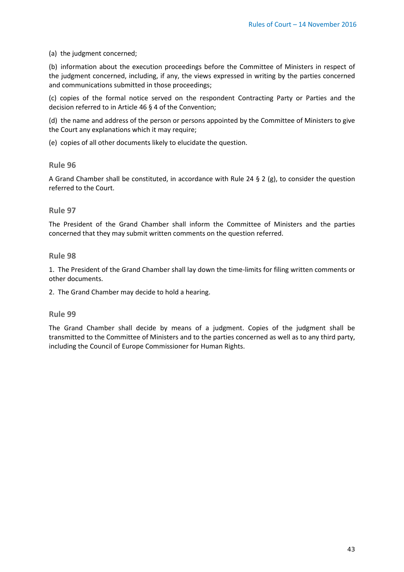#### (a) the judgment concerned;

(b) information about the execution proceedings before the Committee of Ministers in respect of the judgment concerned, including, if any, the views expressed in writing by the parties concerned and communications submitted in those proceedings;

(c) copies of the formal notice served on the respondent Contracting Party or Parties and the decision referred to in Article 46 § 4 of the Convention;

(d) the name and address of the person or persons appointed by the Committee of Ministers to give the Court any explanations which it may require;

(e) copies of all other documents likely to elucidate the question.

#### **Rule 96**

A Grand Chamber shall be constituted, in accordance with Rule 24 § 2 (g), to consider the question referred to the Court.

#### **Rule 97**

The President of the Grand Chamber shall inform the Committee of Ministers and the parties concerned that they may submit written comments on the question referred.

#### **Rule 98**

1. The President of the Grand Chamber shall lay down the time-limits for filing written comments or other documents.

2. The Grand Chamber may decide to hold a hearing.

#### **Rule 99**

The Grand Chamber shall decide by means of a judgment. Copies of the judgment shall be transmitted to the Committee of Ministers and to the parties concerned as well as to any third party, including the Council of Europe Commissioner for Human Rights.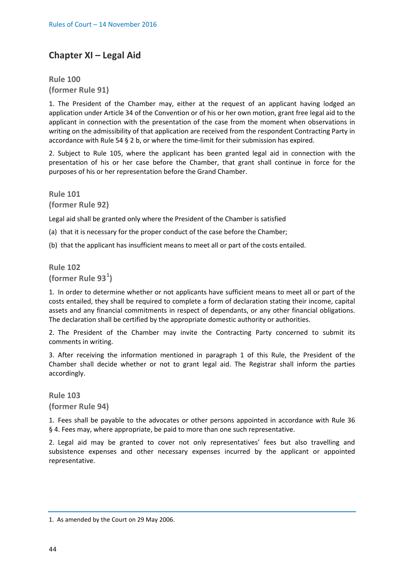# **Chapter XI – Legal Aid**

**Rule 100 (former Rule 91)**

1. The President of the Chamber may, either at the request of an applicant having lodged an application under Article 34 of the Convention or of his or her own motion, grant free legal aid to the applicant in connection with the presentation of the case from the moment when observations in writing on the admissibility of that application are received from the respondent Contracting Party in accordance with Rule 54 § 2 b, or where the time-limit for their submission has expired.

2. Subject to Rule 105, where the applicant has been granted legal aid in connection with the presentation of his or her case before the Chamber, that grant shall continue in force for the purposes of his or her representation before the Grand Chamber.

**Rule 101 (former Rule 92)**

Legal aid shall be granted only where the President of the Chamber is satisfied

(a) that it is necessary for the proper conduct of the case before the Chamber;

(b) that the applicant has insufficient means to meet all or part of the costs entailed.

**Rule 102 (former Rule 93[1](#page-53-0) )**

1. In order to determine whether or not applicants have sufficient means to meet all or part of the costs entailed, they shall be required to complete a form of declaration stating their income, capital assets and any financial commitments in respect of dependants, or any other financial obligations. The declaration shall be certified by the appropriate domestic authority or authorities.

2. The President of the Chamber may invite the Contracting Party concerned to submit its comments in writing.

3. After receiving the information mentioned in paragraph 1 of this Rule, the President of the Chamber shall decide whether or not to grant legal aid. The Registrar shall inform the parties accordingly.

**Rule 103 (former Rule 94)**

1. Fees shall be payable to the advocates or other persons appointed in accordance with Rule 36 § 4. Fees may, where appropriate, be paid to more than one such representative.

2. Legal aid may be granted to cover not only representatives' fees but also travelling and subsistence expenses and other necessary expenses incurred by the applicant or appointed representative.

<span id="page-53-0"></span><sup>1.</sup> As amended by the Court on 29 May 2006.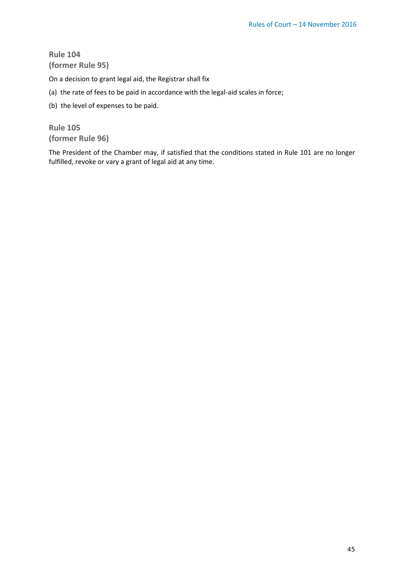**Rule 104 (former Rule 95)**

On a decision to grant legal aid, the Registrar shall fix

- (a) the rate of fees to be paid in accordance with the legal-aid scales in force;
- (b) the level of expenses to be paid.

**Rule 105 (former Rule 96)**

The President of the Chamber may, if satisfied that the conditions stated in Rule 101 are no longer fulfilled, revoke or vary a grant of legal aid at any time.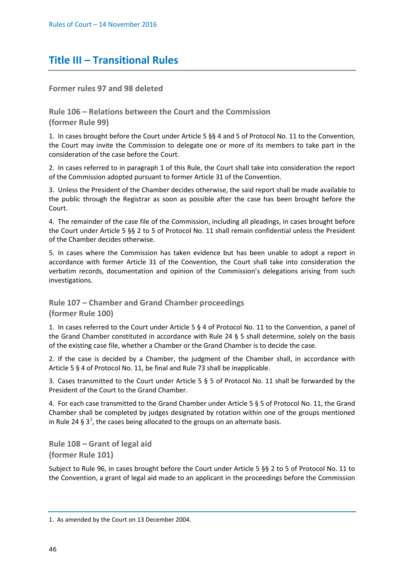# **Title III – Transitional Rules**

## **Former rules 97 and 98 deleted**

**Rule 106 – Relations between the Court and the Commission (former Rule 99)**

1. In cases brought before the Court under Article 5 §§ 4 and 5 of Protocol No. 11 to the Convention, the Court may invite the Commission to delegate one or more of its members to take part in the consideration of the case before the Court.

2. In cases referred to in paragraph 1 of this Rule, the Court shall take into consideration the report of the Commission adopted pursuant to former Article 31 of the Convention.

3. Unless the President of the Chamber decides otherwise, the said report shall be made available to the public through the Registrar as soon as possible after the case has been brought before the Court.

4. The remainder of the case file of the Commission, including all pleadings, in cases brought before the Court under Article 5 §§ 2 to 5 of Protocol No. 11 shall remain confidential unless the President of the Chamber decides otherwise.

5. In cases where the Commission has taken evidence but has been unable to adopt a report in accordance with former Article 31 of the Convention, the Court shall take into consideration the verbatim records, documentation and opinion of the Commission's delegations arising from such investigations.

**Rule 107 – Chamber and Grand Chamber proceedings (former Rule 100)**

1. In cases referred to the Court under Article 5 § 4 of Protocol No. 11 to the Convention, a panel of the Grand Chamber constituted in accordance with Rule 24 § 5 shall determine, solely on the basis of the existing case file, whether a Chamber or the Grand Chamber is to decide the case.

2. If the case is decided by a Chamber, the judgment of the Chamber shall, in accordance with Article 5 § 4 of Protocol No. 11, be final and Rule 73 shall be inapplicable.

3. Cases transmitted to the Court under Article 5 § 5 of Protocol No. 11 shall be forwarded by the President of the Court to the Grand Chamber.

4. For each case transmitted to the Grand Chamber under Article 5 § 5 of Protocol No. 11, the Grand Chamber shall be completed by judges designated by rotation within one of the groups mentioned in Rule 24 § 3<sup>[1](#page-55-0)</sup>, the cases being allocated to the groups on an alternate basis.

**Rule 108 – Grant of legal aid (former Rule 101)**

Subject to Rule 96, in cases brought before the Court under Article 5 §§ 2 to 5 of Protocol No. 11 to the Convention, a grant of legal aid made to an applicant in the proceedings before the Commission

<span id="page-55-0"></span><sup>1.</sup> As amended by the Court on 13 December 2004.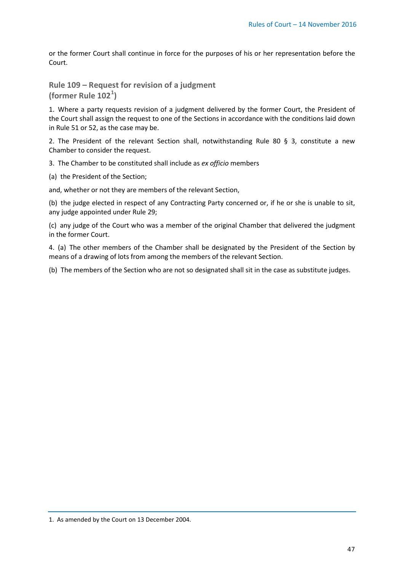or the former Court shall continue in force for the purposes of his or her representation before the Court.

**Rule 109 – Request for revision of a judgment (former Rule 102[1](#page-56-0) )**

1. Where a party requests revision of a judgment delivered by the former Court, the President of the Court shall assign the request to one of the Sections in accordance with the conditions laid down in Rule 51 or 52, as the case may be.

2. The President of the relevant Section shall, notwithstanding Rule 80 § 3, constitute a new Chamber to consider the request.

3. The Chamber to be constituted shall include as *ex officio* members

(a) the President of the Section;

and, whether or not they are members of the relevant Section,

(b) the judge elected in respect of any Contracting Party concerned or, if he or she is unable to sit, any judge appointed under Rule 29;

(c) any judge of the Court who was a member of the original Chamber that delivered the judgment in the former Court.

4. (a) The other members of the Chamber shall be designated by the President of the Section by means of a drawing of lots from among the members of the relevant Section.

(b) The members of the Section who are not so designated shall sit in the case as substitute judges.

<span id="page-56-0"></span><sup>1.</sup> As amended by the Court on 13 December 2004.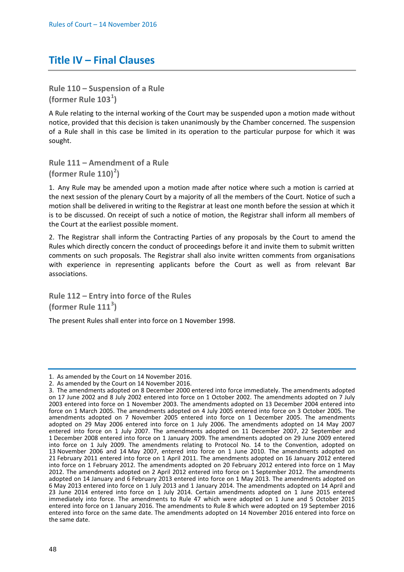# **Title IV – Final Clauses**

**Rule 110 – Suspension of a Rule (former Rule 103[1](#page-57-0) )** 

A Rule relating to the internal working of the Court may be suspended upon a motion made without notice, provided that this decision is taken unanimously by the Chamber concerned. The suspension of a Rule shall in this case be limited in its operation to the particular purpose for which it was sought.

**Rule 111 – Amendment of a Rule (former Rule 110)[2](#page-57-1) )** 

1. Any Rule may be amended upon a motion made after notice where such a motion is carried at the next session of the plenary Court by a majority of all the members of the Court. Notice of such a motion shall be delivered in writing to the Registrar at least one month before the session at which it is to be discussed. On receipt of such a notice of motion, the Registrar shall inform all members of the Court at the earliest possible moment.

2. The Registrar shall inform the Contracting Parties of any proposals by the Court to amend the Rules which directly concern the conduct of proceedings before it and invite them to submit written comments on such proposals. The Registrar shall also invite written comments from organisations with experience in representing applicants before the Court as well as from relevant Bar associations.

**Rule 112 – Entry into force of the Rules (former Rule 111[3](#page-57-2) )** 

The present Rules shall enter into force on 1 November 1998.

<span id="page-57-0"></span><sup>1.</sup> As amended by the Court on 14 November 2016.

<span id="page-57-1"></span><sup>2.</sup> As amended by the Court on 14 November 2016.

<span id="page-57-2"></span><sup>3.</sup> The amendments adopted on 8 December 2000 entered into force immediately. The amendments adopted on 17 June 2002 and 8 July 2002 entered into force on 1 October 2002. The amendments adopted on 7 July 2003 entered into force on 1 November 2003. The amendments adopted on 13 December 2004 entered into force on 1 March 2005. The amendments adopted on 4 July 2005 entered into force on 3 October 2005. The amendments adopted on 7 November 2005 entered into force on 1 December 2005. The amendments adopted on 29 May 2006 entered into force on 1 July 2006. The amendments adopted on 14 May 2007 entered into force on 1 July 2007. The amendments adopted on 11 December 2007, 22 September and 1 December 2008 entered into force on 1 January 2009. The amendments adopted on 29 June 2009 entered into force on 1 July 2009. The amendments relating to Protocol No. 14 to the Convention, adopted on 13 November 2006 and 14 May 2007, entered into force on 1 June 2010. The amendments adopted on 21 February 2011 entered into force on 1 April 2011. The amendments adopted on 16 January 2012 entered into force on 1 February 2012. The amendments adopted on 20 February 2012 entered into force on 1 May 2012. The amendments adopted on 2 April 2012 entered into force on 1 September 2012. The amendments adopted on 14 January and 6 February 2013 entered into force on 1 May 2013. The amendments adopted on 6 May 2013 entered into force on 1 July 2013 and 1 January 2014. The amendments adopted on 14 April and 23 June 2014 entered into force on 1 July 2014. Certain amendments adopted on 1 June 2015 entered immediately into force. The amendments to Rule 47 which were adopted on 1 June and 5 October 2015 entered into force on 1 January 2016. The amendments to Rule 8 which were adopted on 19 September 2016 entered into force on the same date. The amendments adopted on 14 November 2016 entered into force on the same date.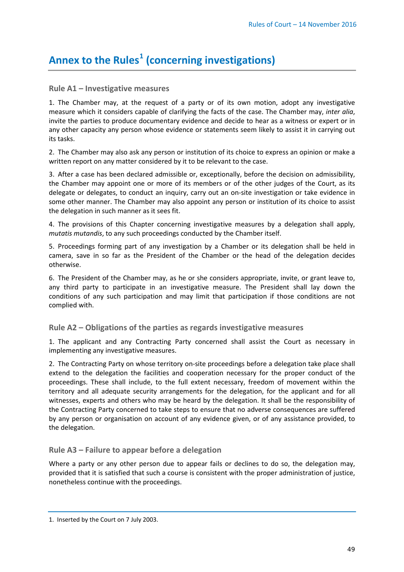# **Annex to the Rules[1](#page-58-0) (concerning investigations)**

## **Rule A1 – Investigative measures**

1. The Chamber may, at the request of a party or of its own motion, adopt any investigative measure which it considers capable of clarifying the facts of the case. The Chamber may, *inter alia*, invite the parties to produce documentary evidence and decide to hear as a witness or expert or in any other capacity any person whose evidence or statements seem likely to assist it in carrying out its tasks.

2. The Chamber may also ask any person or institution of its choice to express an opinion or make a written report on any matter considered by it to be relevant to the case.

3. After a case has been declared admissible or, exceptionally, before the decision on admissibility, the Chamber may appoint one or more of its members or of the other judges of the Court, as its delegate or delegates, to conduct an inquiry, carry out an on-site investigation or take evidence in some other manner. The Chamber may also appoint any person or institution of its choice to assist the delegation in such manner as it sees fit.

4. The provisions of this Chapter concerning investigative measures by a delegation shall apply, *mutatis mutandis*, to any such proceedings conducted by the Chamber itself.

5. Proceedings forming part of any investigation by a Chamber or its delegation shall be held in camera, save in so far as the President of the Chamber or the head of the delegation decides otherwise.

6. The President of the Chamber may, as he or she considers appropriate, invite, or grant leave to, any third party to participate in an investigative measure. The President shall lay down the conditions of any such participation and may limit that participation if those conditions are not complied with.

**Rule A2 – Obligations of the parties as regards investigative measures**

1. The applicant and any Contracting Party concerned shall assist the Court as necessary in implementing any investigative measures.

2. The Contracting Party on whose territory on-site proceedings before a delegation take place shall extend to the delegation the facilities and cooperation necessary for the proper conduct of the proceedings. These shall include, to the full extent necessary, freedom of movement within the territory and all adequate security arrangements for the delegation, for the applicant and for all witnesses, experts and others who may be heard by the delegation. It shall be the responsibility of the Contracting Party concerned to take steps to ensure that no adverse consequences are suffered by any person or organisation on account of any evidence given, or of any assistance provided, to the delegation.

## **Rule A3 – Failure to appear before a delegation**

Where a party or any other person due to appear fails or declines to do so, the delegation may, provided that it is satisfied that such a course is consistent with the proper administration of justice, nonetheless continue with the proceedings.

<span id="page-58-0"></span><sup>1.</sup> Inserted by the Court on 7 July 2003.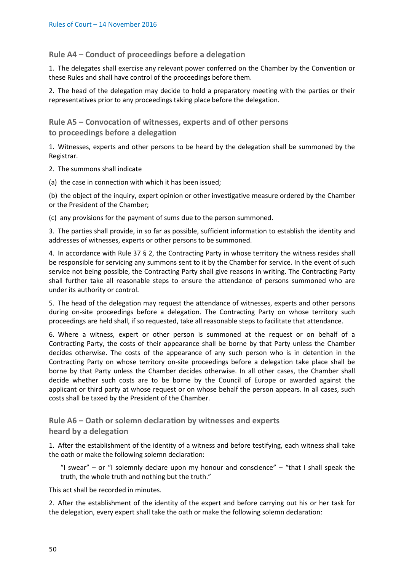**Rule A4 – Conduct of proceedings before a delegation**

1. The delegates shall exercise any relevant power conferred on the Chamber by the Convention or these Rules and shall have control of the proceedings before them.

2. The head of the delegation may decide to hold a preparatory meeting with the parties or their representatives prior to any proceedings taking place before the delegation.

**Rule A5 – Convocation of witnesses, experts and of other persons to proceedings before a delegation**

1. Witnesses, experts and other persons to be heard by the delegation shall be summoned by the Registrar.

2. The summons shall indicate

(a) the case in connection with which it has been issued;

(b) the object of the inquiry, expert opinion or other investigative measure ordered by the Chamber or the President of the Chamber;

(c) any provisions for the payment of sums due to the person summoned.

3. The parties shall provide, in so far as possible, sufficient information to establish the identity and addresses of witnesses, experts or other persons to be summoned.

4. In accordance with Rule 37 § 2, the Contracting Party in whose territory the witness resides shall be responsible for servicing any summons sent to it by the Chamber for service. In the event of such service not being possible, the Contracting Party shall give reasons in writing. The Contracting Party shall further take all reasonable steps to ensure the attendance of persons summoned who are under its authority or control.

5. The head of the delegation may request the attendance of witnesses, experts and other persons during on-site proceedings before a delegation. The Contracting Party on whose territory such proceedings are held shall, if so requested, take all reasonable steps to facilitate that attendance.

6. Where a witness, expert or other person is summoned at the request or on behalf of a Contracting Party, the costs of their appearance shall be borne by that Party unless the Chamber decides otherwise. The costs of the appearance of any such person who is in detention in the Contracting Party on whose territory on-site proceedings before a delegation take place shall be borne by that Party unless the Chamber decides otherwise. In all other cases, the Chamber shall decide whether such costs are to be borne by the Council of Europe or awarded against the applicant or third party at whose request or on whose behalf the person appears. In all cases, such costs shall be taxed by the President of the Chamber.

**Rule A6 – Oath or solemn declaration by witnesses and experts heard by a delegation**

1. After the establishment of the identity of a witness and before testifying, each witness shall take the oath or make the following solemn declaration:

"I swear" – or "I solemnly declare upon my honour and conscience" – "that I shall speak the truth, the whole truth and nothing but the truth."

This act shall be recorded in minutes.

2. After the establishment of the identity of the expert and before carrying out his or her task for the delegation, every expert shall take the oath or make the following solemn declaration: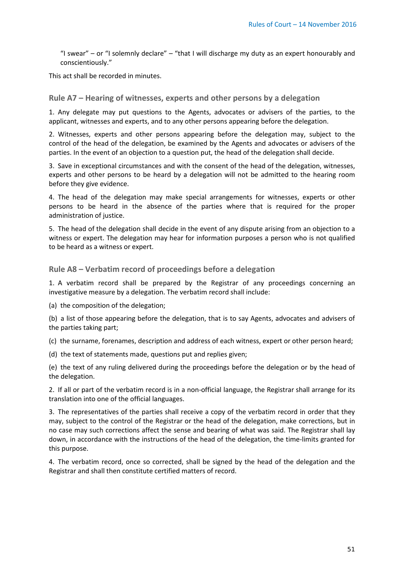"I swear" – or "I solemnly declare" – "that I will discharge my duty as an expert honourably and conscientiously."

This act shall be recorded in minutes.

**Rule A7 – Hearing of witnesses, experts and other persons by a delegation**

1. Any delegate may put questions to the Agents, advocates or advisers of the parties, to the applicant, witnesses and experts, and to any other persons appearing before the delegation.

2. Witnesses, experts and other persons appearing before the delegation may, subject to the control of the head of the delegation, be examined by the Agents and advocates or advisers of the parties. In the event of an objection to a question put, the head of the delegation shall decide.

3. Save in exceptional circumstances and with the consent of the head of the delegation, witnesses, experts and other persons to be heard by a delegation will not be admitted to the hearing room before they give evidence.

4. The head of the delegation may make special arrangements for witnesses, experts or other persons to be heard in the absence of the parties where that is required for the proper administration of justice.

5. The head of the delegation shall decide in the event of any dispute arising from an objection to a witness or expert. The delegation may hear for information purposes a person who is not qualified to be heard as a witness or expert.

**Rule A8 – Verbatim record of proceedings before a delegation**

1. A verbatim record shall be prepared by the Registrar of any proceedings concerning an investigative measure by a delegation. The verbatim record shall include:

(a) the composition of the delegation;

(b) a list of those appearing before the delegation, that is to say Agents, advocates and advisers of the parties taking part;

(c) the surname, forenames, description and address of each witness, expert or other person heard;

(d) the text of statements made, questions put and replies given;

(e) the text of any ruling delivered during the proceedings before the delegation or by the head of the delegation.

2. If all or part of the verbatim record is in a non-official language, the Registrar shall arrange for its translation into one of the official languages.

3. The representatives of the parties shall receive a copy of the verbatim record in order that they may, subject to the control of the Registrar or the head of the delegation, make corrections, but in no case may such corrections affect the sense and bearing of what was said. The Registrar shall lay down, in accordance with the instructions of the head of the delegation, the time-limits granted for this purpose.

4. The verbatim record, once so corrected, shall be signed by the head of the delegation and the Registrar and shall then constitute certified matters of record.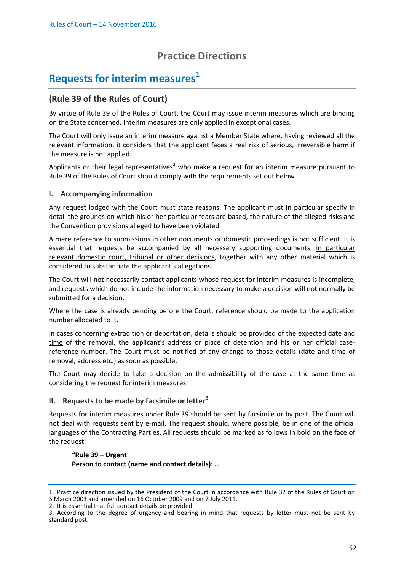# **Practice Directions**

# **Requests for interim measures[1](#page-61-0)**

## **(Rule 39 of the Rules of Court)**

By virtue of Rule 39 of the Rules of Court, the Court may issue interim measures which are binding on the State concerned. Interim measures are only applied in exceptional cases.

The Court will only issue an interim measure against a Member State where, having reviewed all the relevant information, it considers that the applicant faces a real risk of serious, irreversible harm if the measure is not applied.

Applicants or their legal representatives<sup>[2](#page-61-1)</sup> who make a request for an interim measure pursuant to Rule 39 of the Rules of Court should comply with the requirements set out below.

## **I. Accompanying information**

Any request lodged with the Court must state reasons. The applicant must in particular specify in detail the grounds on which his or her particular fears are based, the nature of the alleged risks and the Convention provisions alleged to have been violated.

A mere reference to submissions in other documents or domestic proceedings is not sufficient. It is essential that requests be accompanied by all necessary supporting documents, in particular relevant domestic court, tribunal or other decisions, together with any other material which is considered to substantiate the applicant's allegations.

The Court will not necessarily contact applicants whose request for interim measures is incomplete, and requests which do not include the information necessary to make a decision will not normally be submitted for a decision.

Where the case is already pending before the Court, reference should be made to the application number allocated to it.

In cases concerning extradition or deportation, details should be provided of the expected date and time of the removal, the applicant's address or place of detention and his or her official casereference number. The Court must be notified of any change to those details (date and time of removal, address etc.) as soon as possible.

The Court may decide to take a decision on the admissibility of the case at the same time as considering the request for interim measures.

## **II. Requests to be made by facsimile or letter[3](#page-61-2)**

Requests for interim measures under Rule 39 should be sent by facsimile or by post. The Court will not deal with requests sent by e-mail. The request should, where possible, be in one of the official languages of the Contracting Parties. All requests should be marked as follows in bold on the face of the request:

**"Rule 39 – Urgent Person to contact (name and contact details): …**

<span id="page-61-0"></span><sup>1.</sup> Practice direction issued by the President of the Court in accordance with Rule 32 of the Rules of Court on 5 March 2003 and amended on 16 October 2009 and on 7 July 2011.

<span id="page-61-1"></span><sup>2.</sup> It is essential that full contact details be provided.

<span id="page-61-2"></span><sup>3.</sup> According to the degree of urgency and bearing in mind that requests by letter must not be sent by standard post.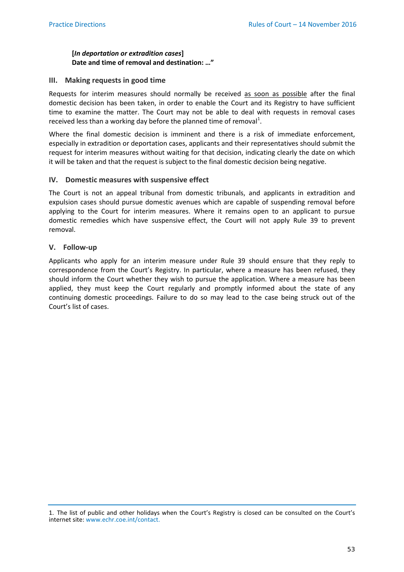## **[***In deportation or extradition cases***] Date and time of removal and destination: …"**

#### **III. Making requests in good time**

Requests for interim measures should normally be received as soon as possible after the final domestic decision has been taken, in order to enable the Court and its Registry to have sufficient time to examine the matter. The Court may not be able to deal with requests in removal cases received less than a working day before the planned time of removal<sup>[1](#page-62-0)</sup>.

Where the final domestic decision is imminent and there is a risk of immediate enforcement, especially in extradition or deportation cases, applicants and their representatives should submit the request for interim measures without waiting for that decision, indicating clearly the date on which it will be taken and that the request is subject to the final domestic decision being negative.

#### **IV. Domestic measures with suspensive effect**

The Court is not an appeal tribunal from domestic tribunals, and applicants in extradition and expulsion cases should pursue domestic avenues which are capable of suspending removal before applying to the Court for interim measures. Where it remains open to an applicant to pursue domestic remedies which have suspensive effect, the Court will not apply Rule 39 to prevent removal.

#### **V. Follow-up**

Applicants who apply for an interim measure under Rule 39 should ensure that they reply to correspondence from the Court's Registry. In particular, where a measure has been refused, they should inform the Court whether they wish to pursue the application. Where a measure has been applied, they must keep the Court regularly and promptly informed about the state of any continuing domestic proceedings. Failure to do so may lead to the case being struck out of the Court's list of cases.

<span id="page-62-0"></span><sup>1.</sup> The list of public and other holidays when the Court's Registry is closed can be consulted on the Court's internet site: [www.echr.coe.int/contact.](http://www.echr.coe.int/contact)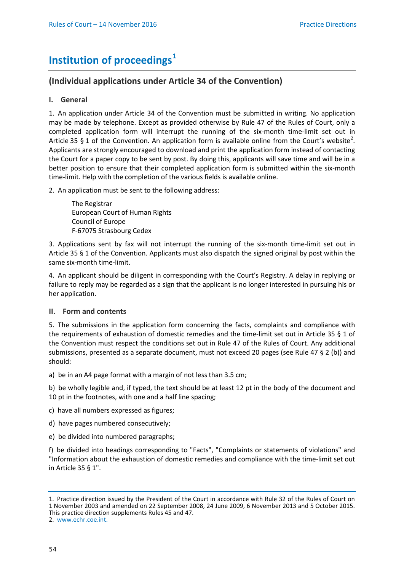# **Institution of proceedings[1](#page-63-0)**

## **(Individual applications under Article 34 of the Convention)**

#### **I. General**

1. An application under Article 34 of the Convention must be submitted in writing. No application may be made by telephone. Except as provided otherwise by Rule 47 of the Rules of Court, only a completed application form will interrupt the running of the six-month time-limit set out in Article 35 § 1 of the Convention. An application form is available online from the Court's website<sup>[2](#page-63-1)</sup>. Applicants are strongly encouraged to download and print the application form instead of contacting the Court for a paper copy to be sent by post. By doing this, applicants will save time and will be in a better position to ensure that their completed application form is submitted within the six-month time-limit. Help with the completion of the various fields is available online.

2. An application must be sent to the following address:

The Registrar European Court of Human Rights Council of Europe F-67075 Strasbourg Cedex

3. Applications sent by fax will not interrupt the running of the six-month time-limit set out in Article 35 § 1 of the Convention. Applicants must also dispatch the signed original by post within the same six-month time-limit.

4. An applicant should be diligent in corresponding with the Court's Registry. A delay in replying or failure to reply may be regarded as a sign that the applicant is no longer interested in pursuing his or her application.

#### **II. Form and contents**

5. The submissions in the application form concerning the facts, complaints and compliance with the requirements of exhaustion of domestic remedies and the time-limit set out in Article 35 § 1 of the Convention must respect the conditions set out in Rule 47 of the Rules of Court. Any additional submissions, presented as a separate document, must not exceed 20 pages (see Rule 47 § 2 (b)) and should:

a) be in an A4 page format with a margin of not less than 3.5 cm;

b) be wholly legible and, if typed, the text should be at least 12 pt in the body of the document and 10 pt in the footnotes, with one and a half line spacing;

- c) have all numbers expressed as figures;
- d) have pages numbered consecutively;
- e) be divided into numbered paragraphs;

f) be divided into headings corresponding to "Facts", "Complaints or statements of violations" and "Information about the exhaustion of domestic remedies and compliance with the time-limit set out in Article 35 § 1".

<span id="page-63-1"></span>2. [www.echr.coe.int.](http://www.echr.coe.int/)

<span id="page-63-0"></span><sup>1.</sup> Practice direction issued by the President of the Court in accordance with Rule 32 of the Rules of Court on 1 November 2003 and amended on 22 September 2008, 24 June 2009, 6 November 2013 and 5 October 2015. This practice direction supplements Rules 45 and 47.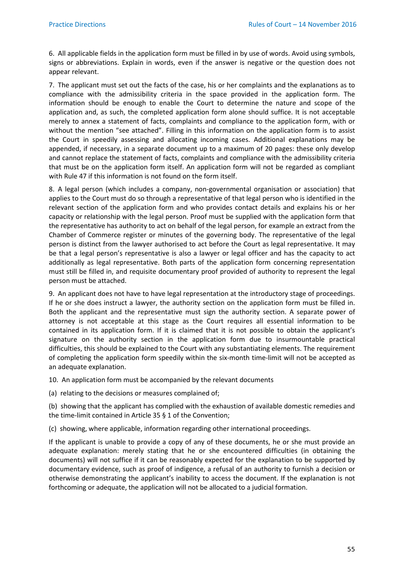6. All applicable fields in the application form must be filled in by use of words. Avoid using symbols, signs or abbreviations. Explain in words, even if the answer is negative or the question does not appear relevant.

7. The applicant must set out the facts of the case, his or her complaints and the explanations as to compliance with the admissibility criteria in the space provided in the application form. The information should be enough to enable the Court to determine the nature and scope of the application and, as such, the completed application form alone should suffice. It is not acceptable merely to annex a statement of facts, complaints and compliance to the application form, with or without the mention "see attached". Filling in this information on the application form is to assist the Court in speedily assessing and allocating incoming cases. Additional explanations may be appended, if necessary, in a separate document up to a maximum of 20 pages: these only develop and cannot replace the statement of facts, complaints and compliance with the admissibility criteria that must be on the application form itself. An application form will not be regarded as compliant with Rule 47 if this information is not found on the form itself.

8. A legal person (which includes a company, non-governmental organisation or association) that applies to the Court must do so through a representative of that legal person who is identified in the relevant section of the application form and who provides contact details and explains his or her capacity or relationship with the legal person. Proof must be supplied with the application form that the representative has authority to act on behalf of the legal person, for example an extract from the Chamber of Commerce register or minutes of the governing body. The representative of the legal person is distinct from the lawyer authorised to act before the Court as legal representative. It may be that a legal person's representative is also a lawyer or legal officer and has the capacity to act additionally as legal representative. Both parts of the application form concerning representation must still be filled in, and requisite documentary proof provided of authority to represent the legal person must be attached.

9. An applicant does not have to have legal representation at the introductory stage of proceedings. If he or she does instruct a lawyer, the authority section on the application form must be filled in. Both the applicant and the representative must sign the authority section. A separate power of attorney is not acceptable at this stage as the Court requires all essential information to be contained in its application form. If it is claimed that it is not possible to obtain the applicant's signature on the authority section in the application form due to insurmountable practical difficulties, this should be explained to the Court with any substantiating elements. The requirement of completing the application form speedily within the six-month time-limit will not be accepted as an adequate explanation.

10. An application form must be accompanied by the relevant documents

(a) relating to the decisions or measures complained of;

(b) showing that the applicant has complied with the exhaustion of available domestic remedies and the time-limit contained in Article 35 § 1 of the Convention;

(c) showing, where applicable, information regarding other international proceedings.

If the applicant is unable to provide a copy of any of these documents, he or she must provide an adequate explanation: merely stating that he or she encountered difficulties (in obtaining the documents) will not suffice if it can be reasonably expected for the explanation to be supported by documentary evidence, such as proof of indigence, a refusal of an authority to furnish a decision or otherwise demonstrating the applicant's inability to access the document. If the explanation is not forthcoming or adequate, the application will not be allocated to a judicial formation.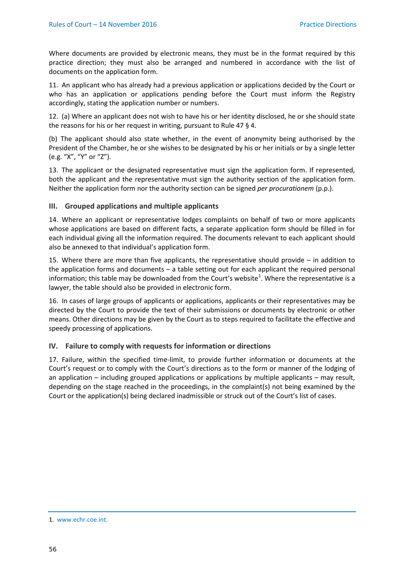Where documents are provided by electronic means, they must be in the format required by this practice direction; they must also be arranged and numbered in accordance with the list of documents on the application form.

11. An applicant who has already had a previous application or applications decided by the Court or who has an application or applications pending before the Court must inform the Registry accordingly, stating the application number or numbers.

12. (a) Where an applicant does not wish to have his or her identity disclosed, he or she should state the reasons for his or her request in writing, pursuant to Rule 47 § 4.

(b) The applicant should also state whether, in the event of anonymity being authorised by the President of the Chamber, he or she wishes to be designated by his or her initials or by a single letter (e.g. "X", "Y" or "Z").

13. The applicant or the designated representative must sign the application form. If represented, both the applicant and the representative must sign the authority section of the application form. Neither the application form nor the authority section can be signed *per procurationem* (p.p.).

#### **III. Grouped applications and multiple applicants**

14. Where an applicant or representative lodges complaints on behalf of two or more applicants whose applications are based on different facts, a separate application form should be filled in for each individual giving all the information required. The documents relevant to each applicant should also be annexed to that individual's application form.

15. Where there are more than five applicants, the representative should provide – in addition to the application forms and documents – a table setting out for each applicant the required personal information; this table may be downloaded from the Court's website<sup>[1](#page-65-0)</sup>. Where the representative is a lawyer, the table should also be provided in electronic form.

16. In cases of large groups of applicants or applications, applicants or their representatives may be directed by the Court to provide the text of their submissions or documents by electronic or other means. Other directions may be given by the Court as to steps required to facilitate the effective and speedy processing of applications.

#### **IV. Failure to comply with requests for information or directions**

17. Failure, within the specified time-limit, to provide further information or documents at the Court's request or to comply with the Court's directions as to the form or manner of the lodging of an application – including grouped applications or applications by multiple applicants – may result, depending on the stage reached in the proceedings, in the complaint(s) not being examined by the Court or the application(s) being declared inadmissible or struck out of the Court's list of cases.

<span id="page-65-0"></span><sup>1.</sup> [www.echr.coe.int.](http://www.echr.coe.int/)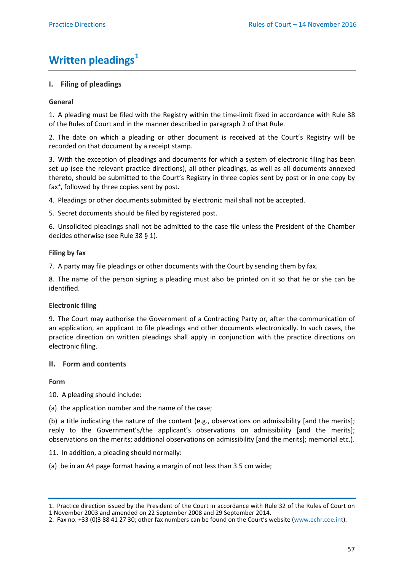# **Written pleadings[1](#page-66-0)**

## **I. Filing of pleadings**

#### **General**

1. A pleading must be filed with the Registry within the time-limit fixed in accordance with Rule 38 of the Rules of Court and in the manner described in paragraph 2 of that Rule.

2. The date on which a pleading or other document is received at the Court's Registry will be recorded on that document by a receipt stamp.

3. With the exception of pleadings and documents for which a system of electronic filing has been set up (see the relevant practice directions), all other pleadings, as well as all documents annexed thereto, should be submitted to the Court's Registry in three copies sent by post or in one copy by  $\text{far}^2$  $\text{far}^2$ , followed by three copies sent by post.

4. Pleadings or other documents submitted by electronic mail shall not be accepted.

5. Secret documents should be filed by registered post.

6. Unsolicited pleadings shall not be admitted to the case file unless the President of the Chamber decides otherwise (see Rule 38 § 1).

#### **Filing by fax**

7. A party may file pleadings or other documents with the Court by sending them by fax.

8. The name of the person signing a pleading must also be printed on it so that he or she can be identified.

## **Electronic filing**

9. The Court may authorise the Government of a Contracting Party or, after the communication of an application, an applicant to file pleadings and other documents electronically. In such cases, the practice direction on written pleadings shall apply in conjunction with the practice directions on electronic filing.

## **II. Form and contents**

**Form**

10. A pleading should include:

(a) the application number and the name of the case;

(b) a title indicating the nature of the content (e.g., observations on admissibility [and the merits]; reply to the Government's/the applicant's observations on admissibility [and the merits]; observations on the merits; additional observations on admissibility [and the merits]; memorial etc.).

11. In addition, a pleading should normally:

(a) be in an A4 page format having a margin of not less than 3.5 cm wide;

<span id="page-66-0"></span><sup>1.</sup> Practice direction issued by the President of the Court in accordance with Rule 32 of the Rules of Court on

<sup>1</sup> November 2003 and amended on 22 September 2008 and 29 September 2014.

<span id="page-66-1"></span><sup>2.</sup> Fax no. +33 (0)3 88 41 27 30; other fax numbers can be found on the Court's website [\(www.echr.coe.int\)](http://www.echr.coe.int/).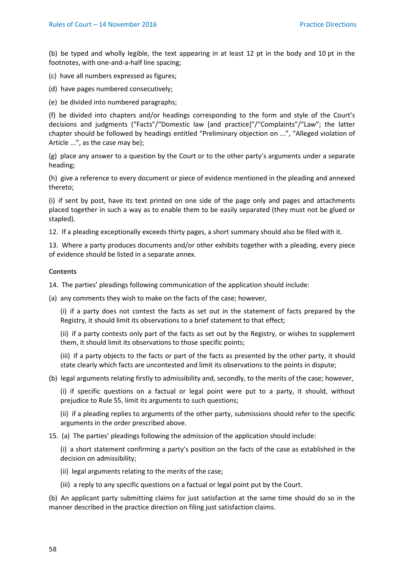(b) be typed and wholly legible, the text appearing in at least 12 pt in the body and 10 pt in the footnotes, with one-and-a-half line spacing;

(c) have all numbers expressed as figures;

(d) have pages numbered consecutively;

(e) be divided into numbered paragraphs;

(f) be divided into chapters and/or headings corresponding to the form and style of the Court's decisions and judgments ("Facts"/"Domestic law [and practice]"/"Complaints"/"Law"; the latter chapter should be followed by headings entitled "Preliminary objection on ...", "Alleged violation of Article ...", as the case may be);

(g) place any answer to a question by the Court or to the other party's arguments under a separate heading;

(h) give a reference to every document or piece of evidence mentioned in the pleading and annexed thereto;

(i) if sent by post, have its text printed on one side of the page only and pages and attachments placed together in such a way as to enable them to be easily separated (they must not be glued or stapled).

12. If a pleading exceptionally exceeds thirty pages, a short summary should also be filed with it.

13. Where a party produces documents and/or other exhibits together with a pleading, every piece of evidence should be listed in a separate annex.

#### **Contents**

14. The parties' pleadings following communication of the application should include:

(a) any comments they wish to make on the facts of the case; however,

(i) if a party does not contest the facts as set out in the statement of facts prepared by the Registry, it should limit its observations to a brief statement to that effect;

(ii) if a party contests only part of the facts as set out by the Registry, or wishes to supplement them, it should limit its observations to those specific points;

(iii) if a party objects to the facts or part of the facts as presented by the other party, it should state clearly which facts are uncontested and limit its observations to the points in dispute;

(b) legal arguments relating firstly to admissibility and, secondly, to the merits of the case; however,

(i) if specific questions on a factual or legal point were put to a party, it should, without prejudice to Rule 55, limit its arguments to such questions;

(ii) if a pleading replies to arguments of the other party, submissions should refer to the specific arguments in the order prescribed above.

15. (a) The parties' pleadings following the admission of the application should include:

(i) a short statement confirming a party's position on the facts of the case as established in the decision on admissibility;

- (ii) legal arguments relating to the merits of the case;
- (iii) a reply to any specific questions on a factual or legal point put by the Court.

(b) An applicant party submitting claims for just satisfaction at the same time should do so in the manner described in the practice direction on filing just satisfaction claims.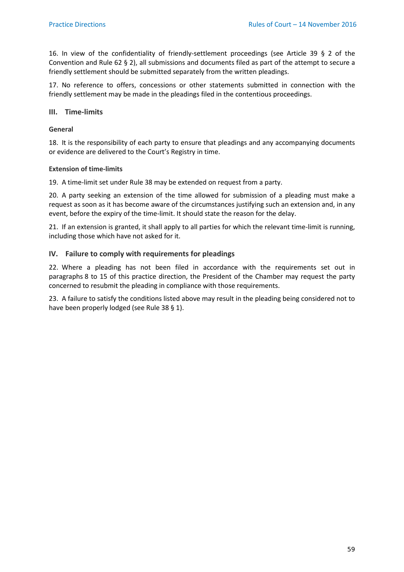16. In view of the confidentiality of friendly-settlement proceedings (see Article 39 § 2 of the Convention and Rule 62 § 2), all submissions and documents filed as part of the attempt to secure a friendly settlement should be submitted separately from the written pleadings.

17. No reference to offers, concessions or other statements submitted in connection with the friendly settlement may be made in the pleadings filed in the contentious proceedings.

#### **III. Time-limits**

#### **General**

18. It is the responsibility of each party to ensure that pleadings and any accompanying documents or evidence are delivered to the Court's Registry in time.

#### **Extension of time-limits**

19. A time-limit set under Rule 38 may be extended on request from a party.

20. A party seeking an extension of the time allowed for submission of a pleading must make a request as soon as it has become aware of the circumstances justifying such an extension and, in any event, before the expiry of the time-limit. It should state the reason for the delay.

21. If an extension is granted, it shall apply to all parties for which the relevant time-limit is running, including those which have not asked for it.

#### **IV. Failure to comply with requirements for pleadings**

22. Where a pleading has not been filed in accordance with the requirements set out in paragraphs 8 to 15 of this practice direction, the President of the Chamber may request the party concerned to resubmit the pleading in compliance with those requirements.

23. A failure to satisfy the conditions listed above may result in the pleading being considered not to have been properly lodged (see Rule 38 § 1).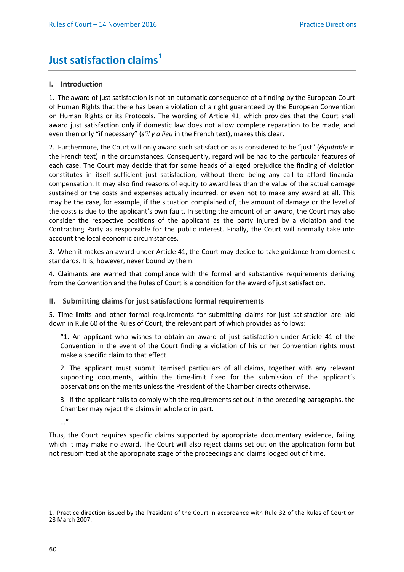# **Just satisfaction claims[1](#page-69-0)**

#### **I. Introduction**

1. The award of just satisfaction is not an automatic consequence of a finding by the European Court of Human Rights that there has been a violation of a right guaranteed by the European Convention on Human Rights or its Protocols. The wording of Article 41, which provides that the Court shall award just satisfaction only if domestic law does not allow complete reparation to be made, and even then only "if necessary" (*s'il y a lieu* in the French text), makes this clear.

2. Furthermore, the Court will only award such satisfaction as is considered to be "just" (*équitable* in the French text) in the circumstances. Consequently, regard will be had to the particular features of each case. The Court may decide that for some heads of alleged prejudice the finding of violation constitutes in itself sufficient just satisfaction, without there being any call to afford financial compensation. It may also find reasons of equity to award less than the value of the actual damage sustained or the costs and expenses actually incurred, or even not to make any award at all. This may be the case, for example, if the situation complained of, the amount of damage or the level of the costs is due to the applicant's own fault. In setting the amount of an award, the Court may also consider the respective positions of the applicant as the party injured by a violation and the Contracting Party as responsible for the public interest. Finally, the Court will normally take into account the local economic circumstances.

3. When it makes an award under Article 41, the Court may decide to take guidance from domestic standards. It is, however, never bound by them.

4. Claimants are warned that compliance with the formal and substantive requirements deriving from the Convention and the Rules of Court is a condition for the award of just satisfaction.

#### **II. Submitting claims for just satisfaction: formal requirements**

5. Time-limits and other formal requirements for submitting claims for just satisfaction are laid down in Rule 60 of the Rules of Court, the relevant part of which provides as follows:

"1. An applicant who wishes to obtain an award of just satisfaction under Article 41 of the Convention in the event of the Court finding a violation of his or her Convention rights must make a specific claim to that effect.

2. The applicant must submit itemised particulars of all claims, together with any relevant supporting documents, within the time-limit fixed for the submission of the applicant's observations on the merits unless the President of the Chamber directs otherwise.

3. If the applicant fails to comply with the requirements set out in the preceding paragraphs, the Chamber may reject the claims in whole or in part.

…"

Thus, the Court requires specific claims supported by appropriate documentary evidence, failing which it may make no award. The Court will also reject claims set out on the application form but not resubmitted at the appropriate stage of the proceedings and claims lodged out of time.

<span id="page-69-0"></span><sup>1.</sup> Practice direction issued by the President of the Court in accordance with Rule 32 of the Rules of Court on 28 March 2007.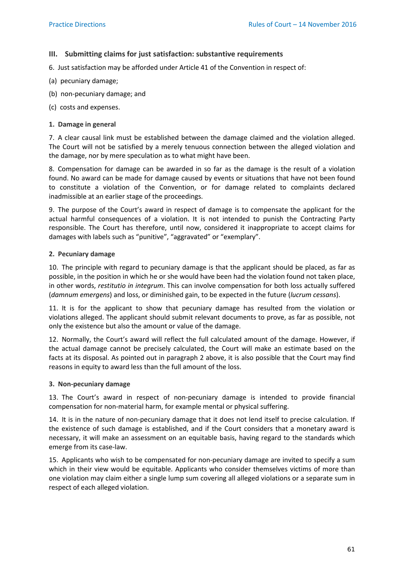#### **III. Submitting claims for just satisfaction: substantive requirements**

6. Just satisfaction may be afforded under Article 41 of the Convention in respect of:

- (a) pecuniary damage;
- (b) non-pecuniary damage; and
- (c) costs and expenses.

#### **1. Damage in general**

7. A clear causal link must be established between the damage claimed and the violation alleged. The Court will not be satisfied by a merely tenuous connection between the alleged violation and the damage, nor by mere speculation as to what might have been.

8. Compensation for damage can be awarded in so far as the damage is the result of a violation found. No award can be made for damage caused by events or situations that have not been found to constitute a violation of the Convention, or for damage related to complaints declared inadmissible at an earlier stage of the proceedings.

9. The purpose of the Court's award in respect of damage is to compensate the applicant for the actual harmful consequences of a violation. It is not intended to punish the Contracting Party responsible. The Court has therefore, until now, considered it inappropriate to accept claims for damages with labels such as "punitive", "aggravated" or "exemplary".

#### **2. Pecuniary damage**

10. The principle with regard to pecuniary damage is that the applicant should be placed, as far as possible, in the position in which he or she would have been had the violation found not taken place, in other words, *restitutio in integrum*. This can involve compensation for both loss actually suffered (*damnum emergens*) and loss, or diminished gain, to be expected in the future (*lucrum cessans*).

11. It is for the applicant to show that pecuniary damage has resulted from the violation or violations alleged. The applicant should submit relevant documents to prove, as far as possible, not only the existence but also the amount or value of the damage.

12. Normally, the Court's award will reflect the full calculated amount of the damage. However, if the actual damage cannot be precisely calculated, the Court will make an estimate based on the facts at its disposal. As pointed out in paragraph 2 above, it is also possible that the Court may find reasons in equity to award less than the full amount of the loss.

#### **3. Non-pecuniary damage**

13. The Court's award in respect of non-pecuniary damage is intended to provide financial compensation for non-material harm, for example mental or physical suffering.

14. It is in the nature of non-pecuniary damage that it does not lend itself to precise calculation. If the existence of such damage is established, and if the Court considers that a monetary award is necessary, it will make an assessment on an equitable basis, having regard to the standards which emerge from its case-law.

15. Applicants who wish to be compensated for non-pecuniary damage are invited to specify a sum which in their view would be equitable. Applicants who consider themselves victims of more than one violation may claim either a single lump sum covering all alleged violations or a separate sum in respect of each alleged violation.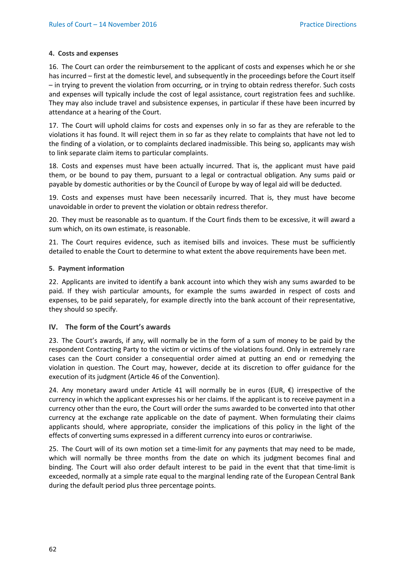#### **4. Costs and expenses**

16. The Court can order the reimbursement to the applicant of costs and expenses which he or she has incurred – first at the domestic level, and subsequently in the proceedings before the Court itself – in trying to prevent the violation from occurring, or in trying to obtain redress therefor. Such costs and expenses will typically include the cost of legal assistance, court registration fees and suchlike. They may also include travel and subsistence expenses, in particular if these have been incurred by attendance at a hearing of the Court.

17. The Court will uphold claims for costs and expenses only in so far as they are referable to the violations it has found. It will reject them in so far as they relate to complaints that have not led to the finding of a violation, or to complaints declared inadmissible. This being so, applicants may wish to link separate claim items to particular complaints.

18. Costs and expenses must have been actually incurred. That is, the applicant must have paid them, or be bound to pay them, pursuant to a legal or contractual obligation. Any sums paid or payable by domestic authorities or by the Council of Europe by way of legal aid will be deducted.

19. Costs and expenses must have been necessarily incurred. That is, they must have become unavoidable in order to prevent the violation or obtain redress therefor.

20. They must be reasonable as to quantum. If the Court finds them to be excessive, it will award a sum which, on its own estimate, is reasonable.

21. The Court requires evidence, such as itemised bills and invoices. These must be sufficiently detailed to enable the Court to determine to what extent the above requirements have been met.

#### **5. Payment information**

22. Applicants are invited to identify a bank account into which they wish any sums awarded to be paid. If they wish particular amounts, for example the sums awarded in respect of costs and expenses, to be paid separately, for example directly into the bank account of their representative, they should so specify.

#### **IV. The form of the Court's awards**

23. The Court's awards, if any, will normally be in the form of a sum of money to be paid by the respondent Contracting Party to the victim or victims of the violations found. Only in extremely rare cases can the Court consider a consequential order aimed at putting an end or remedying the violation in question. The Court may, however, decide at its discretion to offer guidance for the execution of its judgment (Article 46 of the Convention).

24. Any monetary award under Article 41 will normally be in euros (EUR,  $€$ ) irrespective of the currency in which the applicant expresses his or her claims. If the applicant is to receive payment in a currency other than the euro, the Court will order the sums awarded to be converted into that other currency at the exchange rate applicable on the date of payment. When formulating their claims applicants should, where appropriate, consider the implications of this policy in the light of the effects of converting sums expressed in a different currency into euros or contrariwise.

25. The Court will of its own motion set a time-limit for any payments that may need to be made, which will normally be three months from the date on which its judgment becomes final and binding. The Court will also order default interest to be paid in the event that that time-limit is exceeded, normally at a simple rate equal to the marginal lending rate of the European Central Bank during the default period plus three percentage points.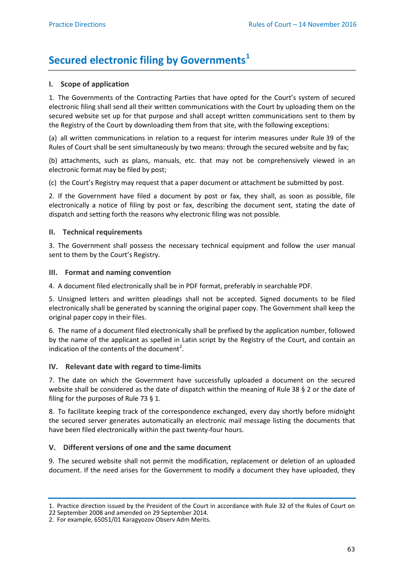# **Secured electronic filing by Governments[1](#page-72-0)**

## **I. Scope of application**

1. The Governments of the Contracting Parties that have opted for the Court's system of secured electronic filing shall send all their written communications with the Court by uploading them on the secured website set up for that purpose and shall accept written communications sent to them by the Registry of the Court by downloading them from that site, with the following exceptions:

(a) all written communications in relation to a request for interim measures under Rule 39 of the Rules of Court shall be sent simultaneously by two means: through the secured website and by fax;

(b) attachments, such as plans, manuals, etc. that may not be comprehensively viewed in an electronic format may be filed by post;

(c) the Court's Registry may request that a paper document or attachment be submitted by post.

2. If the Government have filed a document by post or fax, they shall, as soon as possible, file electronically a notice of filing by post or fax, describing the document sent, stating the date of dispatch and setting forth the reasons why electronic filing was not possible.

## **II. Technical requirements**

3. The Government shall possess the necessary technical equipment and follow the user manual sent to them by the Court's Registry.

### **III. Format and naming convention**

4. A document filed electronically shall be in PDF format, preferably in searchable PDF.

5. Unsigned letters and written pleadings shall not be accepted. Signed documents to be filed electronically shall be generated by scanning the original paper copy. The Government shall keep the original paper copy in their files.

6. The name of a document filed electronically shall be prefixed by the application number, followed by the name of the applicant as spelled in Latin script by the Registry of the Court, and contain an indication of the contents of the document<sup>[2](#page-72-1)</sup>.

## **IV. Relevant date with regard to time-limits**

7. The date on which the Government have successfully uploaded a document on the secured website shall be considered as the date of dispatch within the meaning of Rule 38 § 2 or the date of filing for the purposes of Rule 73 § 1.

8. To facilitate keeping track of the correspondence exchanged, every day shortly before midnight the secured server generates automatically an electronic mail message listing the documents that have been filed electronically within the past twenty-four hours.

## **V. Different versions of one and the same document**

9. The secured website shall not permit the modification, replacement or deletion of an uploaded document. If the need arises for the Government to modify a document they have uploaded, they

<span id="page-72-0"></span><sup>1.</sup> Practice direction issued by the President of the Court in accordance with Rule 32 of the Rules of Court on

<sup>22</sup> September 2008 and amended on 29 September 2014.

<span id="page-72-1"></span><sup>2.</sup> For example, 65051/01 Karagyozov Observ Adm Merits.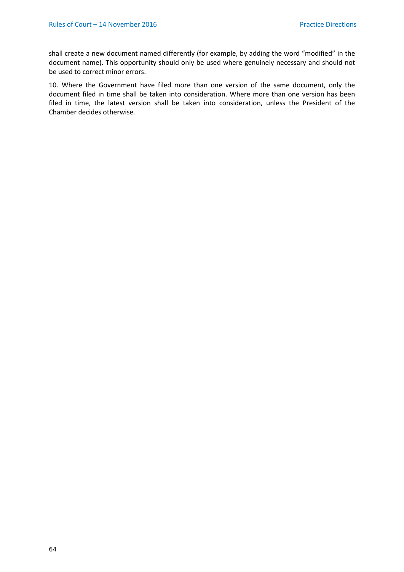shall create a new document named differently (for example, by adding the word "modified" in the document name). This opportunity should only be used where genuinely necessary and should not be used to correct minor errors.

10. Where the Government have filed more than one version of the same document, only the document filed in time shall be taken into consideration. Where more than one version has been filed in time, the latest version shall be taken into consideration, unless the President of the Chamber decides otherwise.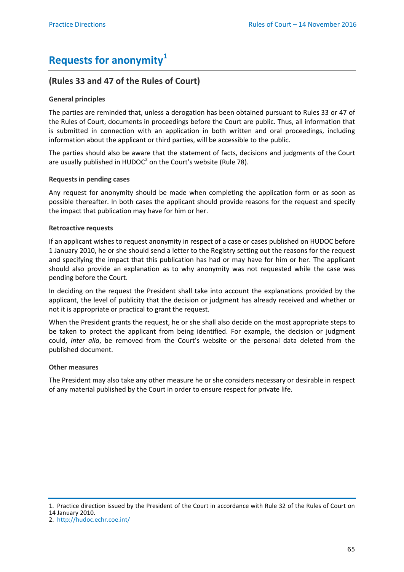# **Requests for anonymity[1](#page-74-0)**

## **(Rules 33 and 47 of the Rules of Court)**

#### **General principles**

The parties are reminded that, unless a derogation has been obtained pursuant to Rules 33 or 47 of the Rules of Court, documents in proceedings before the Court are public. Thus, all information that is submitted in connection with an application in both written and oral proceedings, including information about the applicant or third parties, will be accessible to the public.

The parties should also be aware that the statement of facts, decisions and judgments of the Court are usually published in HUDOC<sup>[2](#page-74-1)</sup> on the Court's website (Rule 78).

#### **Requests in pending cases**

Any request for anonymity should be made when completing the application form or as soon as possible thereafter. In both cases the applicant should provide reasons for the request and specify the impact that publication may have for him or her.

#### **Retroactive requests**

If an applicant wishes to request anonymity in respect of a case or cases published on HUDOC before 1 January 2010, he or she should send a letter to the Registry setting out the reasons for the request and specifying the impact that this publication has had or may have for him or her. The applicant should also provide an explanation as to why anonymity was not requested while the case was pending before the Court.

In deciding on the request the President shall take into account the explanations provided by the applicant, the level of publicity that the decision or judgment has already received and whether or not it is appropriate or practical to grant the request.

When the President grants the request, he or she shall also decide on the most appropriate steps to be taken to protect the applicant from being identified. For example, the decision or judgment could, *inter alia*, be removed from the Court's website or the personal data deleted from the published document.

#### **Other measures**

The President may also take any other measure he or she considers necessary or desirable in respect of any material published by the Court in order to ensure respect for private life.

<span id="page-74-0"></span><sup>1.</sup> Practice direction issued by the President of the Court in accordance with Rule 32 of the Rules of Court on

<sup>14</sup> January 2010.

<span id="page-74-1"></span><sup>2.</sup> http://hudoc.echr.coe.int/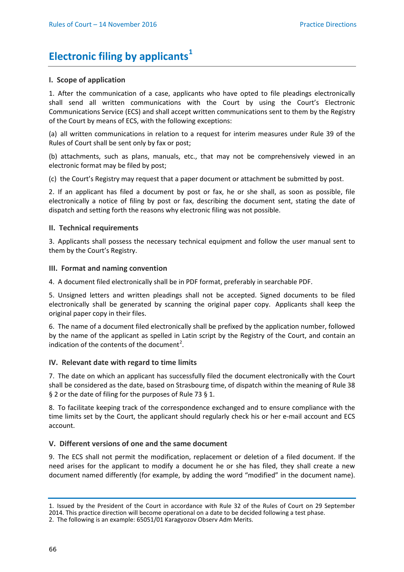## **Electronic filing by applicants[1](#page-75-0)**

#### **I. Scope of application**

1. After the communication of a case, applicants who have opted to file pleadings electronically shall send all written communications with the Court by using the Court's Electronic Communications Service (ECS) and shall accept written communications sent to them by the Registry of the Court by means of ECS, with the following exceptions:

(a) all written communications in relation to a request for interim measures under Rule 39 of the Rules of Court shall be sent only by fax or post;

(b) attachments, such as plans, manuals, etc., that may not be comprehensively viewed in an electronic format may be filed by post;

(c) the Court's Registry may request that a paper document or attachment be submitted by post.

2. If an applicant has filed a document by post or fax, he or she shall, as soon as possible, file electronically a notice of filing by post or fax, describing the document sent, stating the date of dispatch and setting forth the reasons why electronic filing was not possible.

#### **II. Technical requirements**

3. Applicants shall possess the necessary technical equipment and follow the user manual sent to them by the Court's Registry.

#### **III. Format and naming convention**

4. A document filed electronically shall be in PDF format, preferably in searchable PDF.

5. Unsigned letters and written pleadings shall not be accepted. Signed documents to be filed electronically shall be generated by scanning the original paper copy. Applicants shall keep the original paper copy in their files.

6. The name of a document filed electronically shall be prefixed by the application number, followed by the name of the applicant as spelled in Latin script by the Registry of the Court, and contain an indication of the contents of the document<sup>[2](#page-75-1)</sup>.

#### **IV. Relevant date with regard to time limits**

7. The date on which an applicant has successfully filed the document electronically with the Court shall be considered as the date, based on Strasbourg time, of dispatch within the meaning of Rule 38 § 2 or the date of filing for the purposes of Rule 73 § 1.

8. To facilitate keeping track of the correspondence exchanged and to ensure compliance with the time limits set by the Court, the applicant should regularly check his or her e-mail account and ECS account.

#### **V. Different versions of one and the same document**

9. The ECS shall not permit the modification, replacement or deletion of a filed document. If the need arises for the applicant to modify a document he or she has filed, they shall create a new document named differently (for example, by adding the word "modified" in the document name).

<span id="page-75-0"></span><sup>1.</sup> Issued by the President of the Court in accordance with Rule 32 of the Rules of Court on 29 September 2014. This practice direction will become operational on a date to be decided following a test phase.

<span id="page-75-1"></span><sup>2.</sup> The following is an example: 65051/01 Karagyozov Observ Adm Merits.